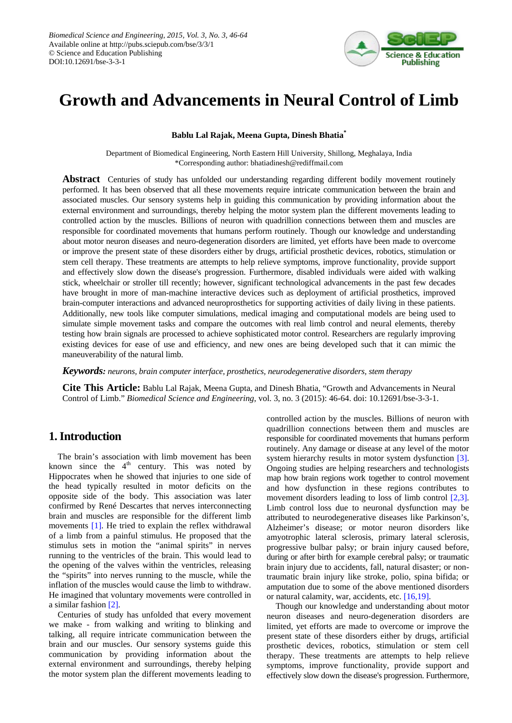

# **Growth and Advancements in Neural Control of Limb**

#### **Bablu Lal Rajak, Meena Gupta, Dinesh Bhatia\***

Department of Biomedical Engineering, North Eastern Hill University, Shillong, Meghalaya, India \*Corresponding author: bhatiadinesh@rediffmail.com

**Abstract** Centuries of study has unfolded our understanding regarding different bodily movement routinely performed. It has been observed that all these movements require intricate communication between the brain and associated muscles. Our sensory systems help in guiding this communication by providing information about the external environment and surroundings, thereby helping the motor system plan the different movements leading to controlled action by the muscles. Billions of neuron with quadrillion connections between them and muscles are responsible for coordinated movements that humans perform routinely. Though our knowledge and understanding about motor neuron diseases and neuro-degeneration disorders are limited, yet efforts have been made to overcome or improve the present state of these disorders either by drugs, artificial prosthetic devices, robotics, stimulation or stem cell therapy. These treatments are attempts to help relieve symptoms, improve functionality, provide support and effectively slow down the disease's progression. Furthermore, disabled individuals were aided with walking stick, wheelchair or stroller till recently; however, significant technological advancements in the past few decades have brought in more of man-machine interactive devices such as deployment of artificial prosthetics, improved brain-computer interactions and advanced neuroprosthetics for supporting activities of daily living in these patients. Additionally, new tools like computer simulations, medical imaging and computational models are being used to simulate simple movement tasks and compare the outcomes with real limb control and neural elements, thereby testing how brain signals are processed to achieve sophisticated motor control. Researchers are regularly improving existing devices for ease of use and efficiency, and new ones are being developed such that it can mimic the maneuverability of the natural limb.

*Keywords: neurons, brain computer interface, prosthetics, neurodegenerative disorders, stem therapy*

**Cite This Article:** Bablu Lal Rajak, Meena Gupta, and Dinesh Bhatia, "Growth and Advancements in Neural Control of Limb." *Biomedical Science and Engineering*, vol. 3, no. 3 (2015): 46-64. doi: 10.12691/bse-3-3-1.

# **1. Introduction**

The brain's association with limb movement has been known since the  $4<sup>th</sup>$  century. This was noted by Hippocrates when he showed that injuries to one side of the head typically resulted in motor deficits on the opposite side of the body. This association was later confirmed by René Descartes that nerves interconnecting brain and muscles are responsible for the different limb movements [\[1\].](#page-15-0) He tried to explain the reflex withdrawal of a limb from a painful stimulus. He proposed that the stimulus sets in motion the "animal spirits" in nerves running to the ventricles of the brain. This would lead to the opening of the valves within the ventricles, releasing the "spirits" into nerves running to the muscle, while the inflation of the muscles would cause the limb to withdraw. He imagined that voluntary movements were controlled in a similar fashion [\[2\].](#page-15-1)

Centuries of study has unfolded that every movement we make - from walking and writing to blinking and talking, all require intricate communication between the brain and our muscles. Our sensory systems guide this communication by providing information about the external environment and surroundings, thereby helping the motor system plan the different movements leading to controlled action by the muscles. Billions of neuron with quadrillion connections between them and muscles are responsible for coordinated movements that humans perform routinely. Any damage or disease at any level of the motor system hierarchy results in motor system dysfunction [\[3\].](#page-15-2) Ongoing studies are helping researchers and technologists map how brain regions work together to control movement and how dysfunction in these regions contributes to movement disorders leading to loss of limb control [\[2,3\].](#page-15-1) Limb control loss due to neuronal dysfunction may be attributed to neurodegenerative diseases like Parkinson's, Alzheimer's disease; or motor neuron disorders like amyotrophic lateral sclerosis, primary lateral sclerosis, progressive bulbar palsy; or brain injury caused before, during or after birth for example cerebral palsy; or traumatic brain injury due to accidents, fall, natural disaster; or nontraumatic brain injury like stroke, polio, spina bifida; or amputation due to some of the above mentioned disorders or natural calamity, war, accidents, etc. [\[16,19\].](#page-16-0)

Though our knowledge and understanding about motor neuron diseases and neuro-degeneration disorders are limited, yet efforts are made to overcome or improve the present state of these disorders either by drugs, artificial prosthetic devices, robotics, stimulation or stem cell therapy. These treatments are attempts to help relieve symptoms, improve functionality, provide support and effectively slow down the disease's progression. Furthermore,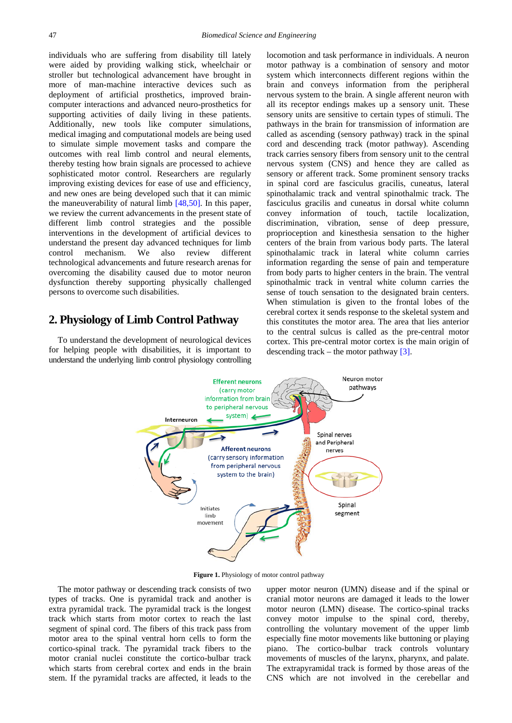individuals who are suffering from disability till lately were aided by providing walking stick, wheelchair or stroller but technological advancement have brought in more of man-machine interactive devices such as deployment of artificial prosthetics, improved braincomputer interactions and advanced neuro-prosthetics for supporting activities of daily living in these patients. Additionally, new tools like computer simulations, medical imaging and computational models are being used to simulate simple movement tasks and compare the outcomes with real limb control and neural elements, thereby testing how brain signals are processed to achieve sophisticated motor control. Researchers are regularly improving existing devices for ease of use and efficiency, and new ones are being developed such that it can mimic the maneuverability of natural limb [\[48,50\].](#page-16-1) In this paper, we review the current advancements in the present state of different limb control strategies and the possible interventions in the development of artificial devices to understand the present day advanced techniques for limb control mechanism. We also review different technological advancements and future research arenas for overcoming the disability caused due to motor neuron dysfunction thereby supporting physically challenged persons to overcome such disabilities.

# **2. Physiology of Limb Control Pathway**

To understand the development of neurological devices for helping people with disabilities, it is important to understand the underlying limb control physiology controlling locomotion and task performance in individuals. A neuron motor pathway is a combination of sensory and motor system which interconnects different regions within the brain and conveys information from the peripheral nervous system to the brain. A single afferent neuron with all its receptor endings makes up a sensory unit. These sensory units are sensitive to certain types of stimuli. The pathways in the brain for transmission of information are called as ascending (sensory pathway) track in the spinal cord and descending track (motor pathway). Ascending track carries sensory fibers from sensory unit to the central nervous system (CNS) and hence they are called as sensory or afferent track. Some prominent sensory tracks in spinal cord are fasciculus gracilis, cuneatus, lateral spinothalamic track and ventral spinothalmic track. The fasciculus gracilis and cuneatus in dorsal white column convey information of touch, tactile localization, discrimination, vibration, sense of deep pressure, proprioception and kinesthesia sensation to the higher centers of the brain from various body parts. The lateral spinothalamic track in lateral white column carries information regarding the sense of pain and temperature from body parts to higher centers in the brain. The ventral spinothalmic track in ventral white column carries the sense of touch sensation to the designated brain centers. When stimulation is given to the frontal lobes of the cerebral cortex it sends response to the skeletal system and this constitutes the motor area. The area that lies anterior to the central sulcus is called as the pre-central motor cortex. This pre-central motor cortex is the main origin of descending track – the motor pathway  $[3]$ .



**Figure 1.** Physiology of motor control pathway

The motor pathway or descending track consists of two types of tracks. One is pyramidal track and another is extra pyramidal track. The pyramidal track is the longest track which starts from motor cortex to reach the last segment of spinal cord. The fibers of this track pass from motor area to the spinal ventral horn cells to form the cortico-spinal track. The pyramidal track fibers to the motor cranial nuclei constitute the cortico-bulbar track which starts from cerebral cortex and ends in the brain stem. If the pyramidal tracks are affected, it leads to the upper motor neuron (UMN) disease and if the spinal or cranial motor neurons are damaged it leads to the lower motor neuron (LMN) disease. The cortico-spinal tracks convey motor impulse to the spinal cord, thereby, controlling the voluntary movement of the upper limb especially fine motor movements like buttoning or playing piano. The cortico-bulbar track controls voluntary movements of muscles of the larynx, pharynx, and palate. The extrapyramidal track is formed by those areas of the CNS which are not involved in the cerebellar and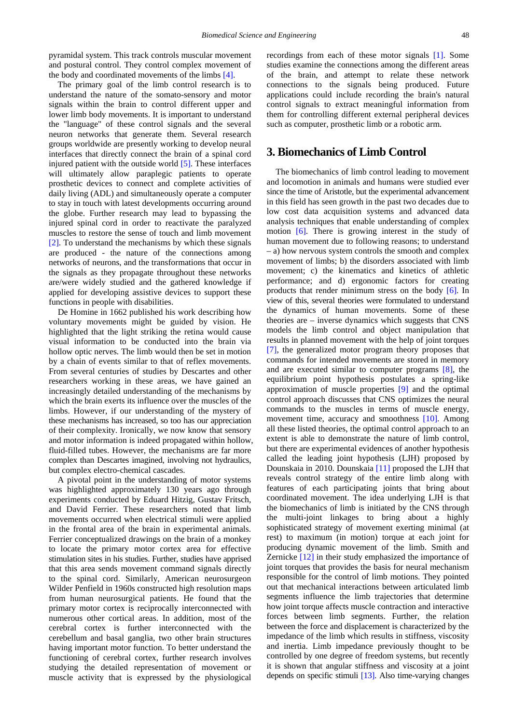pyramidal system. This track controls muscular movement and postural control. They control complex movement of the body and coordinated movements of the limbs [\[4\].](#page-16-2)

The primary goal of the limb control research is to understand the nature of the somato-sensory and motor signals within the brain to control different upper and lower limb body movements. It is important to understand the "language" of these control signals and the several neuron networks that generate them. Several research groups worldwide are presently working to develop neural interfaces that directly connect the brain of a spinal cord injured patient with the outside world [\[5\].](#page-16-3) These interfaces will ultimately allow paraplegic patients to operate prosthetic devices to connect and complete activities of daily living (ADL) and simultaneously operate a computer to stay in touch with latest developments occurring around the globe. Further research may lead to bypassing the injured spinal cord in order to reactivate the paralyzed muscles to restore the sense of touch and limb movement [\[2\].](#page-15-1) To understand the mechanisms by which these signals are produced - the nature of the connections among networks of neurons, and the transformations that occur in the signals as they propagate throughout these networks are/were widely studied and the gathered knowledge if applied for developing assistive devices to support these functions in people with disabilities.

De Homine in 1662 published his work describing how voluntary movements might be guided by vision. He highlighted that the light striking the retina would cause visual information to be conducted into the brain via hollow optic nerves. The limb would then be set in motion by a chain of events similar to that of reflex movements. From several centuries of studies by Descartes and other researchers working in these areas, we have gained an increasingly detailed understanding of the mechanisms by which the brain exerts its influence over the muscles of the limbs. However, if our understanding of the mystery of these mechanisms has increased, so too has our appreciation of their complexity. Ironically, we now know that sensory and motor information is indeed propagated within hollow, fluid-filled tubes. However, the mechanisms are far more complex than Descartes imagined, involving not hydraulics, but complex electro-chemical cascades.

A pivotal point in the understanding of motor systems was highlighted approximately 130 years ago through experiments conducted by Eduard Hitzig, Gustav Fritsch, and David Ferrier. These researchers noted that limb movements occurred when electrical stimuli were applied in the frontal area of the brain in experimental animals. Ferrier conceptualized drawings on the brain of a monkey to locate the primary motor cortex area for effective stimulation sites in his studies. Further, studies have apprised that this area sends movement command signals directly to the spinal cord. Similarly, American neurosurgeon Wilder Penfield in 1960s constructed high resolution maps from human neurosurgical patients. He found that the primary motor cortex is reciprocally interconnected with numerous other cortical areas. In addition, most of the cerebral cortex is further interconnected with the cerebellum and basal ganglia, two other brain structures having important motor function. To better understand the functioning of cerebral cortex, further research involves studying the detailed representation of movement or muscle activity that is expressed by the physiological recordings from each of these motor signals [\[1\].](#page-15-0) Some studies examine the connections among the different areas of the brain, and attempt to relate these network connections to the signals being produced. Future applications could include recording the brain's natural control signals to extract meaningful information from them for controlling different external peripheral devices such as computer, prosthetic limb or a robotic arm.

# **3. Biomechanics of Limb Control**

The biomechanics of limb control leading to movement and locomotion in animals and humans were studied ever since the time of Aristotle, but the experimental advancement in this field has seen growth in the past two decades due to low cost data acquisition systems and advanced data analysis techniques that enable understanding of complex motion [\[6\].](#page-16-4) There is growing interest in the study of human movement due to following reasons; to understand – a) how nervous system controls the smooth and complex movement of limbs; b) the disorders associated with limb movement; c) the kinematics and kinetics of athletic performance; and d) ergonomic factors for creating products that render minimum stress on the body [\[6\].](#page-16-4) In view of this, several theories were formulated to understand the dynamics of human movements. Some of these theories are – inverse dynamics which suggests that CNS models the limb control and object manipulation that results in planned movement with the help of joint torques [\[7\],](#page-16-5) the generalized motor program theory proposes that commands for intended movements are stored in memory and are executed similar to computer programs [\[8\],](#page-16-6) the equilibrium point hypothesis postulates a spring-like approximation of muscle properties [\[9\]](#page-16-7) and the optimal control approach discusses that CNS optimizes the neural commands to the muscles in terms of muscle energy, movement time, accuracy and smoothness [\[10\].](#page-16-8) Among all these listed theories, the optimal control approach to an extent is able to demonstrate the nature of limb control, but there are experimental evidences of another hypothesis called the leading joint hypothesis (LJH) proposed by Dounskaia in 2010. Dounskaia [\[11\]](#page-16-9) proposed the LJH that reveals control strategy of the entire limb along with features of each participating joints that bring about coordinated movement. The idea underlying LJH is that the biomechanics of limb is initiated by the CNS through the multi-joint linkages to bring about a highly sophisticated strategy of movement exerting minimal (at rest) to maximum (in motion) torque at each joint for producing dynamic movement of the limb. Smith and Zernicke [\[12\]](#page-16-10) in their study emphasized the importance of joint torques that provides the basis for neural mechanism responsible for the control of limb motions. They pointed out that mechanical interactions between articulated limb segments influence the limb trajectories that determine how joint torque affects muscle contraction and interactive forces between limb segments. Further, the relation between the force and displacement is characterized by the impedance of the limb which results in stiffness, viscosity and inertia. Limb impedance previously thought to be controlled by one degree of freedom systems, but recently it is shown that angular stiffness and viscosity at a joint depends on specific stimuli [\[13\].](#page-16-11) Also time-varying changes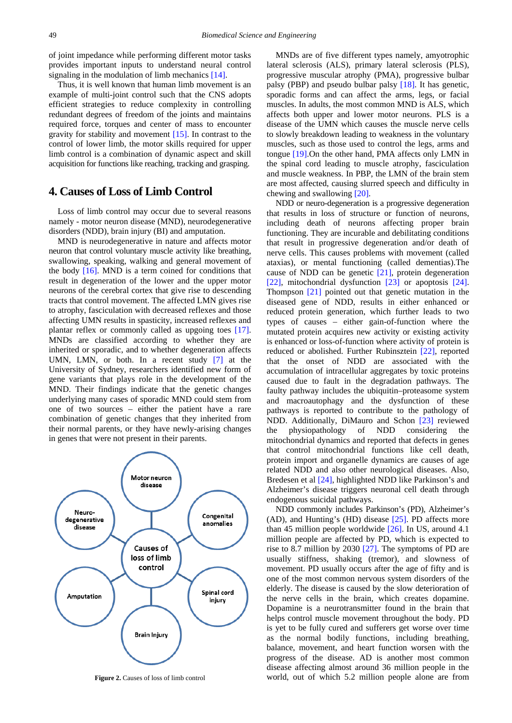of joint impedance while performing different motor tasks provides important inputs to understand neural control signaling in the modulation of limb mechanics [\[14\].](#page-16-12)

Thus, it is well known that human limb movement is an example of multi-joint control such that the CNS adopts efficient strategies to reduce complexity in controlling redundant degrees of freedom of the joints and maintains required force, torques and center of mass to encounter gravity for stability and movement  $[15]$ . In contrast to the control of lower limb, the motor skills required for upper limb control is a combination of dynamic aspect and skill acquisition for functions like reaching, tracking and grasping.

### **4. Causes of Loss of Limb Control**

Loss of limb control may occur due to several reasons namely - motor neuron disease (MND), neurodegenerative disorders (NDD), brain injury (BI) and amputation.

MND is neurodegenerative in nature and affects motor neuron that control voluntary muscle activity like breathing, swallowing, speaking, walking and general movement of the body  $[16]$ . MND is a term coined for conditions that result in degeneration of the lower and the upper motor neurons of the cerebral cortex that give rise to descending tracts that control movement. The affected LMN gives rise to atrophy, fasciculation with decreased reflexes and those affecting UMN results in spasticity, increased reflexes and plantar reflex or commonly called as upgoing toes [\[17\].](#page-16-14) MNDs are classified according to whether they are inherited or sporadic, and to whether degeneration affects UMN, LMN, or both. In a recent study [\[7\]](#page-16-5) at the University of Sydney, researchers identified new form of gene variants that plays role in the development of the MND. Their findings indicate that the genetic changes underlying many cases of sporadic MND could stem from one of two sources – either the patient have a rare combination of genetic changes that they inherited from their normal parents, or they have newly-arising changes in genes that were not present in their parents.



**Figure 2.** Causes of loss of limb control

MNDs are of five different types namely, amyotrophic lateral sclerosis (ALS), primary lateral sclerosis (PLS), progressive muscular atrophy (PMA), progressive bulbar palsy (PBP) and pseudo bulbar palsy [\[18\].](#page-16-15) It has genetic, sporadic forms and can affect the arms, legs, or facial muscles. In adults, the most common MND is ALS, which affects both upper and lower motor neurons. PLS is a disease of the UMN which causes the muscle nerve cells to slowly breakdown leading to weakness in the voluntary muscles, such as those used to control the legs, arms and tongue [\[19\].](#page-16-16)On the other hand, PMA affects only LMN in the spinal cord leading to muscle atrophy, fasciculation and muscle weakness. In PBP, the LMN of the brain stem are most affected, causing slurred speech and difficulty in chewing and swallowing [\[20\].](#page-16-17)

NDD or neuro-degeneration is a progressive degeneration that results in loss of structure or function of neurons, including death of neurons affecting proper brain functioning. They are incurable and debilitating conditions that result in progressive degeneration and/or death of nerve cells. This causes problems with movement (called ataxias), or mental functioning (called dementias).The cause of NDD can be genetic [\[21\],](#page-16-18) protein degeneration [\[22\],](#page-16-19) mitochondrial dysfunction [\[23\]](#page-16-20) or apoptosis [\[24\].](#page-16-21) Thompson [\[21\]](#page-16-18) pointed out that genetic mutation in the diseased gene of NDD, results in either enhanced or reduced protein generation, which further leads to two types of causes – either gain-of-function where the mutated protein acquires new activity or existing activity is enhanced or loss-of-function where activity of protein is reduced or abolished. Further Rubinsztein [\[22\],](#page-16-19) reported that the onset of NDD are associated with the accumulation of intracellular aggregates by toxic proteins caused due to fault in the degradation pathways. The faulty pathway includes the ubiquitin–proteasome system and macroautophagy and the dysfunction of these pathways is reported to contribute to the pathology of NDD. Additionally, DiMauro and Schon [\[23\]](#page-16-20) reviewed the physiopathology of NDD considering the mitochondrial dynamics and reported that defects in genes that control mitochondrial functions like cell death, protein import and organelle dynamics are causes of age related NDD and also other neurological diseases. Also, Bredesen et a[l \[24\],](#page-16-21) highlighted NDD like Parkinson's and Alzheimer's disease triggers neuronal cell death through endogenous suicidal pathways.

NDD commonly includes Parkinson's (PD), Alzheimer's (AD), and Hunting's (HD) disease [\[25\].](#page-16-22) PD affects more than 45 million people worldwide [\[26\].](#page-16-23) In US, around 4.1 million people are affected by PD, which is expected to rise to 8.7 million by 2030 [\[27\].](#page-16-24) The symptoms of PD are usually stiffness, shaking (tremor), and slowness of movement. PD usually occurs after the age of fifty and is one of the most common nervous system disorders of the elderly. The disease is caused by the slow deterioration of the nerve cells in the brain, which creates dopamine. Dopamine is a neurotransmitter found in the brain that helps control muscle movement throughout the body. PD is yet to be fully cured and sufferers get worse over time as the normal bodily functions, including breathing, balance, movement, and heart function worsen with the progress of the disease. AD is another most common disease affecting almost around 36 million people in the world, out of which 5.2 million people alone are from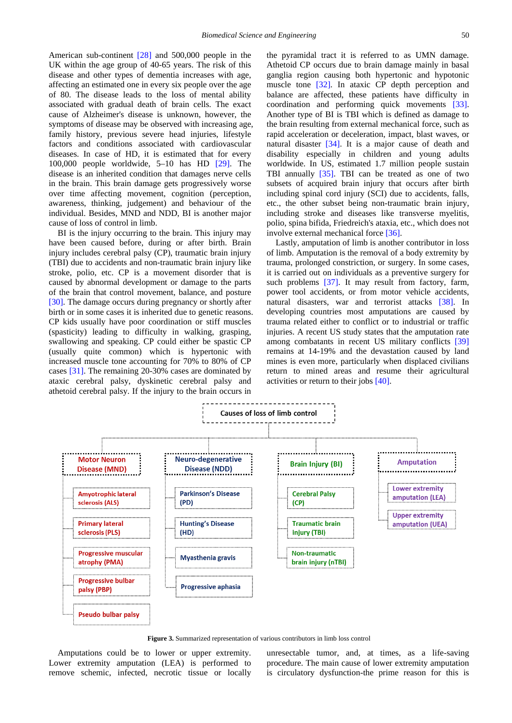American sub-continent [\[28\]](#page-16-25) and 500,000 people in the UK within the age group of 40-65 years. The risk of this disease and other types of dementia increases with age, affecting an estimated one in every six people over the age of 80. The disease leads to the loss of mental ability associated with gradual death of brain cells. The exact cause of Alzheimer's disease is unknown, however, the symptoms of disease may be observed with increasing age, family history, previous severe head injuries, lifestyle factors and conditions associated with cardiovascular diseases. In case of HD, it is estimated that for every 100,000 people worldwide, 5–10 has HD [\[29\].](#page-16-26) The disease is an inherited condition that damages nerve cells in the brain. This brain damage gets progressively worse over time affecting movement, cognition (perception, awareness, thinking, judgement) and behaviour of the individual. Besides, MND and NDD, BI is another major cause of loss of control in limb.

BI is the injury occurring to the brain. This injury may have been caused before, during or after birth. Brain injury includes cerebral palsy (CP), traumatic brain injury (TBI) due to accidents and non-traumatic brain injury like stroke, polio, etc. CP is a movement disorder that is caused by abnormal development or damage to the parts of the brain that control movement, balance, and posture [\[30\].](#page-16-27) The damage occurs during pregnancy or shortly after birth or in some cases it is inherited due to genetic reasons. CP kids usually have poor coordination or stiff muscles (spasticity) leading to difficulty in walking, grasping, swallowing and speaking. CP could either be spastic CP (usually quite common) which is hypertonic with increased muscle tone accounting for 70% to 80% of CP cases [\[31\].](#page-16-28) The remaining 20-30% cases are dominated by ataxic cerebral palsy, dyskinetic cerebral palsy and athetoid cerebral palsy. If the injury to the brain occurs in

the pyramidal tract it is referred to as UMN damage. Athetoid CP occurs due to brain damage mainly in basal ganglia region causing both hypertonic and hypotonic muscle tone [\[32\].](#page-16-29) In ataxic CP depth perception and balance are affected, these patients have difficulty in coordination and performing quick movements [\[33\].](#page-16-30) Another type of BI is TBI which is defined as damage to the brain resulting from external mechanical force, such as rapid acceleration or deceleration, impact, blast waves, or natural disaster [\[34\].](#page-16-31) It is a major cause of death and disability especially in children and young adults worldwide. In US, estimated 1.7 million people sustain TBI annually [\[35\].](#page-16-32) TBI can be treated as one of two subsets of acquired brain injury that occurs after birth including spinal cord injury (SCI) due to accidents, falls, etc., the other subset being non-traumatic brain injury, including stroke and diseases like transverse myelitis, polio, spina bifida, Friedreich's ataxia, etc., which does not involve external mechanical force [\[36\].](#page-16-33)

Lastly, amputation of limb is another contributor in loss of limb. Amputation is the removal of a body extremity by trauma, prolonged constriction, or surgery. In some cases, it is carried out on individuals as a preventive surgery for such problems [\[37\].](#page-16-34) It may result from factory, farm, power tool accidents, or from motor vehicle accidents, natural disasters, war and terrorist attacks [\[38\].](#page-16-35) In developing countries most amputations are caused by trauma related either to conflict or to industrial or traffic injuries. A recent US study states that the amputation rate among combatants in recent US military conflicts [\[39\]](#page-16-36) remains at 14-19% and the devastation caused by land mines is even more, particularly when displaced civilians return to mined areas and resume their agricultural activities or return to their jobs [\[40\].](#page-16-37)



**Figure 3.** Summarized representation of various contributors in limb loss control

Amputations could be to lower or upper extremity. Lower extremity amputation (LEA) is performed to remove schemic, infected, necrotic tissue or locally unresectable tumor, and, at times, as a life-saving procedure. The main cause of lower extremity amputation is circulatory dysfunction-the prime reason for this is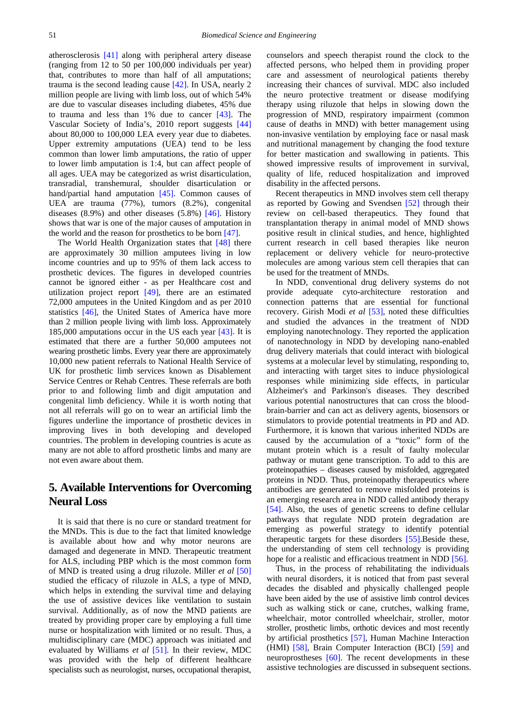atherosclerosis [\[41\]](#page-16-38) along with peripheral artery disease (ranging from 12 to 50 per 100,000 individuals per year) that, contributes to more than half of all amputations; trauma is the second leading cause [\[42\].](#page-16-39) In USA, nearly 2 million people are living with limb loss, out of which 54% are due to vascular diseases including diabetes, 45% due to trauma and less than 1% due to cancer [\[43\].](#page-16-40) The Vascular Society of India's, 2010 report suggests [\[44\]](#page-16-41) about 80,000 to 100,000 LEA every year due to diabetes. Upper extremity amputations (UEA) tend to be less common than lower limb amputations, the ratio of upper to lower limb amputation is 1:4, but can affect people of all ages. UEA may be categorized as wrist disarticulation, transradial, transhemural, shoulder disarticulation or hand/partial hand amputation [\[45\].](#page-16-42) Common causes of UEA are trauma (77%), tumors (8.2%), congenital diseases  $(8.9\%)$  and other diseases  $(5.8\%)$  [\[46\].](#page-16-43) History shows that war is one of the major causes of amputation in the world and the reason for prosthetics to be born [\[47\].](#page-16-44)

The World Health Organization states that [\[48\]](#page-16-1) there are approximately 30 million amputees living in low income countries and up to 95% of them lack access to prosthetic devices. The figures in developed countries cannot be ignored either - as per Healthcare cost and utilization project report [\[49\],](#page-16-45) there are an estimated 72,000 amputees in the United Kingdom and as per 2010 statistics [\[46\],](#page-16-43) the United States of America have more than 2 million people living with limb loss. Approximately 185,000 amputations occur in the US each year [\[43\].](#page-16-40) It is estimated that there are a further 50,000 amputees not wearing prosthetic limbs. Every year there are approximately 10,000 new patient referrals to National Health Service of UK for prosthetic limb services known as Disablement Service Centres or Rehab Centres. These referrals are both prior to and following limb and digit amputation and congenital limb deficiency. While it is worth noting that not all referrals will go on to wear an artificial limb the figures underline the importance of prosthetic devices in improving lives in both developing and developed countries. The problem in developing countries is acute as many are not able to afford prosthetic limbs and many are not even aware about them.

# **5. Available Interventions for Overcoming Neural Loss**

It is said that there is no cure or standard treatment for the MNDs. This is due to the fact that limited knowledge is available about how and why motor neurons are damaged and degenerate in MND. Therapeutic treatment for ALS, including PBP which is the most common form of MND is treated using a drug riluzole. Miller *et al* [\[50\]](#page-16-46) studied the efficacy of riluzole in ALS, a type of MND, which helps in extending the survival time and delaying the use of assistive devices like ventilation to sustain survival. Additionally, as of now the MND patients are treated by providing proper care by employing a full time nurse or hospitalization with limited or no result. Thus, a multidisciplinary care (MDC) approach was initiated and evaluated by Williams *et al* [\[51\].](#page-16-47) In their review, MDC was provided with the help of different healthcare specialists such as neurologist, nurses, occupational therapist,

counselors and speech therapist round the clock to the affected persons, who helped them in providing proper care and assessment of neurological patients thereby increasing their chances of survival. MDC also included the neuro protective treatment or disease modifying therapy using riluzole that helps in slowing down the progression of MND, respiratory impairment (common cause of deaths in MND) with better management using non-invasive ventilation by employing face or nasal mask and nutritional management by changing the food texture for better mastication and swallowing in patients. This showed impressive results of improvement in survival, quality of life, reduced hospitalization and improved disability in the affected persons.

Recent therapeutics in MND involves stem cell therapy as reported by Gowing and Svendsen [\[52\]](#page-16-48) through their review on cell-based therapeutics. They found that transplantation therapy in animal model of MND shows positive result in clinical studies, and hence, highlighted current research in cell based therapies like neuron replacement or delivery vehicle for neuro-protective molecules are among various stem cell therapies that can be used for the treatment of MNDs.

In NDD, conventional drug delivery systems do not provide adequate cyto-architecture restoration and connection patterns that are essential for functional recovery. Girish Modi *et al* [\[53\],](#page-16-49) noted these difficulties and studied the advances in the treatment of NDD employing nanotechnology. They reported the application of nanotechnology in NDD by developing nano-enabled drug delivery materials that could interact with biological systems at a molecular level by stimulating, responding to, and interacting with target sites to induce physiological responses while minimizing side effects, in particular Alzheimer's and Parkinson's diseases. They described various potential nanostructures that can cross the bloodbrain-barrier and can act as delivery agents, biosensors or stimulators to provide potential treatments in PD and AD. Furthermore, it is known that various inherited NDDs are caused by the accumulation of a "toxic" form of the mutant protein which is a result of faulty molecular pathway or mutant gene transcription. To add to this are proteinopathies – diseases caused by misfolded, aggregated proteins in NDD. Thus, proteinopathy therapeutics where antibodies are generated to remove misfolded proteins is an emerging research area in NDD called antibody therapy [\[54\].](#page-16-50) Also, the uses of genetic screens to define cellular pathways that regulate NDD protein degradation are emerging as powerful strategy to identify potential therapeutic targets for these disorders [\[55\].](#page-17-0)Beside these, the understanding of stem cell technology is providing hope for a realistic and efficacious treatment in NDD [\[56\].](#page-17-1)

Thus, in the process of rehabilitating the individuals with neural disorders, it is noticed that from past several decades the disabled and physically challenged people have been aided by the use of assistive limb control devices such as walking stick or cane, crutches, walking frame, wheelchair, motor controlled wheelchair, stroller, motor stroller, prosthetic limbs, orthotic devices and most recently by artificial prosthetics [\[57\],](#page-17-2) Human Machine Interaction (HMI) [\[58\],](#page-17-3) Brain Computer Interaction (BCI) [\[59\]](#page-17-4) and neuroprostheses [\[60\].](#page-17-5) The recent developments in these assistive technologies are discussed in subsequent sections.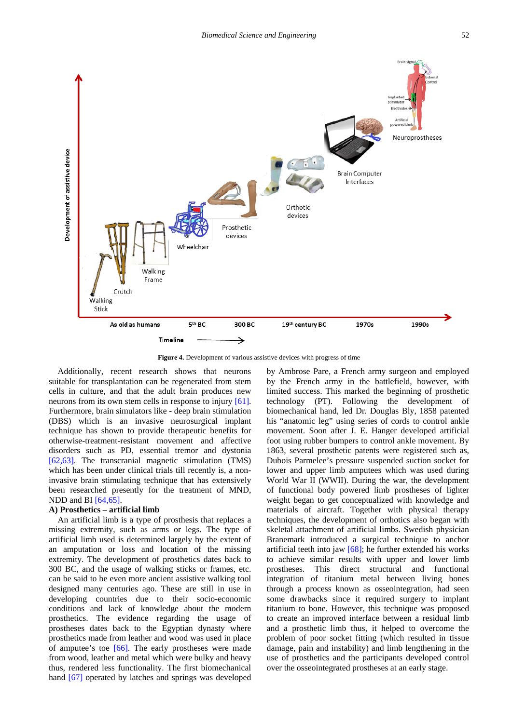

**Figure 4.** Development of various assistive devices with progress of time

Additionally, recent research shows that neurons suitable for transplantation can be regenerated from stem cells in culture, and that the adult brain produces new neurons from its own stem cells in response to injury [\[61\].](#page-17-6) Furthermore, brain simulators like - deep brain stimulation (DBS) which is an invasive neurosurgical implant technique has shown to provide therapeutic benefits for otherwise-treatment-resistant movement and affective disorders such as PD, essential tremor and dystonia [\[62,63\].](#page-17-7) The transcranial magnetic stimulation (TMS) which has been under clinical trials till recently is, a noninvasive brain stimulating technique that has extensively been researched presently for the treatment of MND, NDD and BI [\[64,65\].](#page-17-8)

#### **A) Prosthetics – artificial limb**

An artificial limb is a type of prosthesis that replaces a missing extremity, such as arms or legs. The type of artificial limb used is determined largely by the extent of an amputation or loss and location of the missing extremity. The development of prosthetics dates back to 300 BC, and the usage of walking sticks or frames, etc. can be said to be even more ancient assistive walking tool designed many centuries ago. These are still in use in developing countries due to their socio-economic conditions and lack of knowledge about the modern prosthetics. The evidence regarding the usage of prostheses dates back to the Egyptian dynasty where prosthetics made from leather and wood was used in place of amputee's toe [\[66\].](#page-17-9) The early prostheses were made from wood, leather and metal which were bulky and heavy thus, rendered less functionality. The first biomechanical hand [\[67\]](#page-17-10) operated by latches and springs was developed

by Ambrose Pare, a French army surgeon and employed by the French army in the battlefield, however, with limited success. This marked the beginning of prosthetic technology (PT). Following the development of biomechanical hand, led Dr. Douglas Bly, 1858 patented his "anatomic leg" using series of cords to control ankle movement. Soon after J. E. Hanger developed artificial foot using rubber bumpers to control ankle movement. By 1863, several prosthetic patents were registered such as, Dubois Parmelee's pressure suspended suction socket for lower and upper limb amputees which was used during World War II (WWII). During the war, the development of functional body powered limb prostheses of lighter weight began to get conceptualized with knowledge and materials of aircraft. Together with physical therapy techniques, the development of orthotics also began with skeletal attachment of artificial limbs. Swedish physician Branemark introduced a surgical technique to anchor artificial teeth into jaw [\[68\];](#page-17-11) he further extended his works to achieve similar results with upper and lower limb prostheses. This direct structural and functional integration of titanium metal between living bones through a process known as osseointegration, had seen some drawbacks since it required surgery to implant titanium to bone. However, this technique was proposed to create an improved interface between a residual limb and a prosthetic limb thus, it helped to overcome the problem of poor socket fitting (which resulted in tissue damage, pain and instability) and limb lengthening in the use of prosthetics and the participants developed control over the osseointegrated prostheses at an early stage.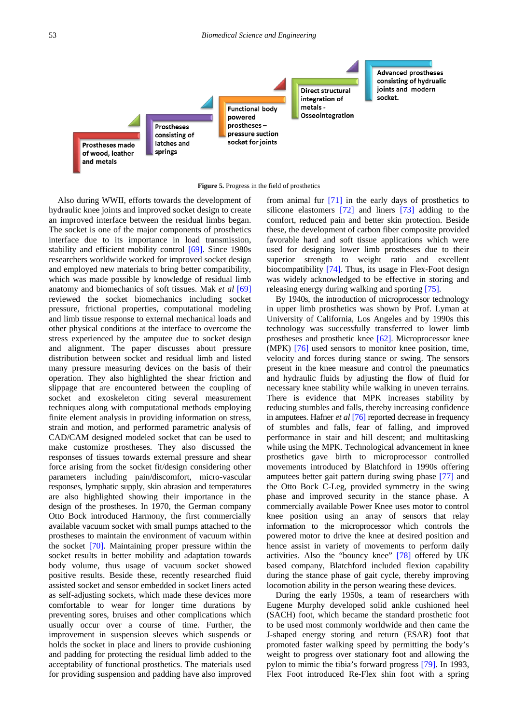

**Figure 5.** Progress in the field of prosthetics

Also during WWII, efforts towards the development of hydraulic knee joints and improved socket design to create an improved interface between the residual limbs began. The socket is one of the major components of prosthetics interface due to its importance in load transmission, stability and efficient mobility control [\[69\].](#page-17-12) Since 1980s researchers worldwide worked for improved socket design and employed new materials to bring better compatibility, which was made possible by knowledge of residual limb anatomy and biomechanics of soft tissues. Mak *et al* [\[69\]](#page-17-12) reviewed the socket biomechanics including socket pressure, frictional properties, computational modeling and limb tissue response to external mechanical loads and other physical conditions at the interface to overcome the stress experienced by the amputee due to socket design and alignment. The paper discusses about pressure distribution between socket and residual limb and listed many pressure measuring devices on the basis of their operation. They also highlighted the shear friction and slippage that are encountered between the coupling of socket and exoskeleton citing several measurement techniques along with computational methods employing finite element analysis in providing information on stress, strain and motion, and performed parametric analysis of CAD/CAM designed modeled socket that can be used to make customize prostheses. They also discussed the responses of tissues towards external pressure and shear force arising from the socket fit/design considering other parameters including pain/discomfort, micro-vascular responses, lymphatic supply, skin abrasion and temperatures are also highlighted showing their importance in the design of the prostheses. In 1970, the German company Otto Bock introduced Harmony, the first commercially available vacuum socket with small pumps attached to the prostheses to maintain the environment of vacuum within the socket [\[70\].](#page-17-13) Maintaining proper pressure within the socket results in better mobility and adaptation towards body volume, thus usage of vacuum socket showed positive results. Beside these, recently researched fluid assisted socket and sensor embedded in socket liners acted as self-adjusting sockets, which made these devices more comfortable to wear for longer time durations by preventing sores, bruises and other complications which usually occur over a course of time. Further, the improvement in suspension sleeves which suspends or holds the socket in place and liners to provide cushioning and padding for protecting the residual limb added to the acceptability of functional prosthetics. The materials used for providing suspension and padding have also improved from animal fur [\[71\]](#page-17-14) in the early days of prosthetics to silicone elastomers [\[72\]](#page-17-15) and liners [\[73\]](#page-17-16) adding to the comfort, reduced pain and better skin protection. Beside these, the development of carbon fiber composite provided favorable hard and soft tissue applications which were used for designing lower limb prostheses due to their superior strength to weight ratio and excellent biocompatibility [\[74\]](#page-17-17)*.* Thus, its usage in Flex-Foot design was widely acknowledged to be effective in storing and releasing energy during walking and sporting [\[75\].](#page-17-18)

By 1940s, the introduction of microprocessor technology in upper limb prosthetics was shown by Prof. Lyman at University of California, Los Angeles and by 1990s this technology was successfully transferred to lower limb prostheses and prosthetic knee [\[62\].](#page-17-7) Microprocessor knee (MPK) [\[76\]](#page-17-19) used sensors to monitor knee position, time, velocity and forces during stance or swing. The sensors present in the knee measure and control the pneumatics and hydraulic fluids by adjusting the flow of fluid for necessary knee stability while walking in uneven terrains. There is evidence that MPK increases stability by reducing stumbles and falls, thereby increasing confidence in amputees. Hafner *et al* [\[76\]](#page-17-19) reported decrease in frequency of stumbles and falls, fear of falling, and improved performance in stair and hill descent; and multitasking while using the MPK. Technological advancement in knee prosthetics gave birth to microprocessor controlled movements introduced by Blatchford in 1990s offering amputees better gait pattern during swing phase [\[77\]](#page-17-20) and the Otto Bock C-Leg, provided symmetry in the swing phase and improved security in the stance phase. A commercially available Power Knee uses motor to control knee position using an array of sensors that relay information to the microprocessor which controls the powered motor to drive the knee at desired position and hence assist in variety of movements to perform daily activities. Also the "bouncy knee" [\[78\]](#page-17-21) offered by UK based company, Blatchford included flexion capability during the stance phase of gait cycle, thereby improving locomotion ability in the person wearing these devices.

During the early 1950s, a team of researchers with Eugene Murphy developed solid ankle cushioned heel (SACH) foot, which became the standard prosthetic foot to be used most commonly worldwide and then came the J-shaped energy storing and return (ESAR) foot that promoted faster walking speed by permitting the body's weight to progress over stationary foot and allowing the pylon to mimic the tibia's forward progress [\[79\].](#page-17-22) In 1993, Flex Foot introduced Re-Flex shin foot with a spring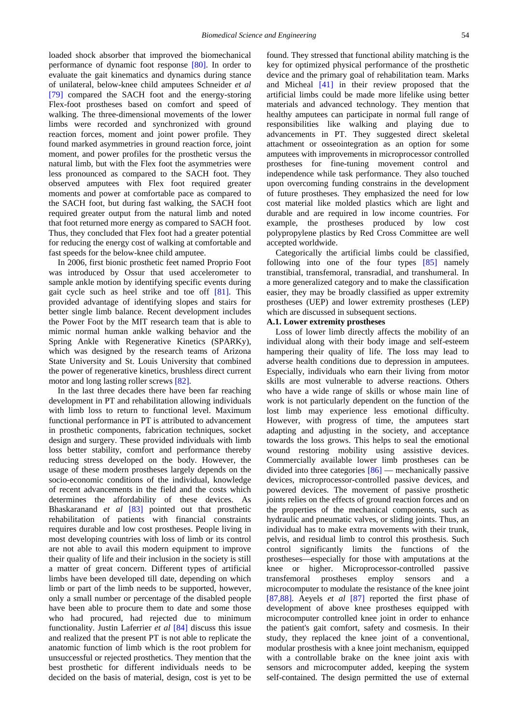loaded shock absorber that improved the biomechanical performance of dynamic foot response [\[80\].](#page-17-23) In order to evaluate the gait kinematics and dynamics during stance of unilateral, below-knee child amputees Schneider *et al* [\[79\]](#page-17-22) compared the SACH foot and the energy-storing Flex-foot prostheses based on comfort and speed of walking. The three-dimensional movements of the lower limbs were recorded and synchronized with ground reaction forces, moment and joint power profile. They found marked asymmetries in ground reaction force, joint moment, and power profiles for the prosthetic versus the natural limb, but with the Flex foot the asymmetries were less pronounced as compared to the SACH foot. They observed amputees with Flex foot required greater moments and power at comfortable pace as compared to the SACH foot, but during fast walking, the SACH foot required greater output from the natural limb and noted that foot returned more energy as compared to SACH foot. Thus, they concluded that Flex foot had a greater potential for reducing the energy cost of walking at comfortable and fast speeds for the below-knee child amputee.

In 2006, first bionic prosthetic feet named Proprio Foot was introduced by Ossur that used accelerometer to sample ankle motion by identifying specific events during gait cycle such as heel strike and toe off [\[81\].](#page-17-24) This provided advantage of identifying slopes and stairs for better single limb balance. Recent development includes the Power Foot by the MIT research team that is able to mimic normal human ankle walking behavior and the Spring Ankle with Regenerative Kinetics (SPARKy), which was designed by the research teams of Arizona State University and St. Louis University that combined the power of regenerative kinetics, brushless direct current motor and long lasting roller screws [\[82\].](#page-17-25)

In the last three decades there have been far reaching development in PT and rehabilitation allowing individuals with limb loss to return to functional level. Maximum functional performance in PT is attributed to advancement in prosthetic components, fabrication techniques, socket design and surgery. These provided individuals with limb loss better stability, comfort and performance thereby reducing stress developed on the body. However, the usage of these modern prostheses largely depends on the socio-economic conditions of the individual, knowledge of recent advancements in the field and the costs which determines the affordability of these devices. As Bhaskaranand *et al* [\[83\]](#page-17-26) pointed out that prosthetic rehabilitation of patients with financial constraints requires durable and low cost prostheses. People living in most developing countries with loss of limb or its control are not able to avail this modern equipment to improve their quality of life and their inclusion in the society is still a matter of great concern. Different types of artificial limbs have been developed till date, depending on which limb or part of the limb needs to be supported, however, only a small number or percentage of the disabled people have been able to procure them to date and some those who had procured, had rejected due to minimum functionality. Justin Laferrier *et al* [\[84\]](#page-17-27) discuss this issue and realized that the present PT is not able to replicate the anatomic function of limb which is the root problem for unsuccessful or rejected prosthetics. They mention that the best prosthetic for different individuals needs to be decided on the basis of material, design, cost is yet to be

found. They stressed that functional ability matching is the key for optimized physical performance of the prosthetic device and the primary goal of rehabilitation team. Marks and Micheal [\[41\]](#page-16-38) in their review proposed that the artificial limbs could be made more lifelike using better materials and advanced technology. They mention that healthy amputees can participate in normal full range of responsibilities like walking and playing due to advancements in PT. They suggested direct skeletal attachment or osseointegration as an option for some amputees with improvements in microprocessor controlled prostheses for fine-tuning movement control and independence while task performance. They also touched upon overcoming funding constrains in the development of future prostheses. They emphasized the need for low cost material like molded plastics which are light and durable and are required in low income countries. For example, the prostheses produced by low cost polypropylene plastics by Red Cross Committee are well accepted worldwide.

Categorically the artificial limbs could be classified, following into one of the four types [\[85\]](#page-17-28) namely transtibial, transfemoral, transradial, and transhumeral. In a more generalized category and to make the classification easier, they may be broadly classified as upper extremity prostheses (UEP) and lower extremity prostheses (LEP) which are discussed in subsequent sections.

#### **A.1. Lower extremity prostheses**

Loss of lower limb directly affects the mobility of an individual along with their body image and self-esteem hampering their quality of life. The loss may lead to adverse health conditions due to depression in amputees. Especially, individuals who earn their living from motor skills are most vulnerable to adverse reactions. Others who have a wide range of skills or whose main line of work is not particularly dependent on the function of the lost limb may experience less emotional difficulty. However, with progress of time, the amputees start adapting and adjusting in the society, and acceptance towards the loss grows. This helps to seal the emotional wound restoring mobility using assistive devices. Commercially available lower limb prostheses can be divided into three categories [\[86\]](#page-17-29) — mechanically passive devices, microprocessor-controlled passive devices, and powered devices. The movement of passive prosthetic joints relies on the effects of ground reaction forces and on the properties of the mechanical components, such as hydraulic and pneumatic valves, or sliding joints. Thus, an individual has to make extra movements with their trunk, pelvis, and residual limb to control this prosthesis. Such control significantly limits the functions of the prostheses—especially for those with amputations at the knee or higher. Microprocessor-controlled passive transfemoral prostheses employ sensors and a microcomputer to modulate the resistance of the knee joint [\[87,88\].](#page-17-30) Aeyels *et al* [\[87\]](#page-17-30) reported the first phase of development of above knee prostheses equipped with microcomputer controlled knee joint in order to enhance the patient's gait comfort, safety and cosmesis. In their study, they replaced the knee joint of a conventional, modular prosthesis with a knee joint mechanism, equipped with a controllable brake on the knee joint axis with sensors and microcomputer added, keeping the system self-contained. The design permitted the use of external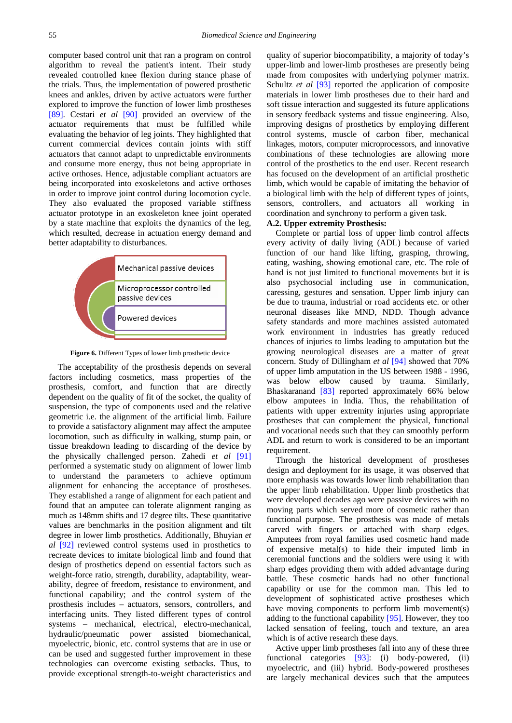computer based control unit that ran a program on control algorithm to reveal the patient's intent. Their study revealed controlled knee flexion during stance phase of the trials. Thus, the implementation of powered prosthetic knees and ankles, driven by active actuators were further explored to improve the function of lower limb prostheses [\[89\].](#page-17-31) Cestari *et al* [\[90\]](#page-17-32) provided an overview of the actuator requirements that must be fulfilled while evaluating the behavior of leg joints. They highlighted that current commercial devices contain joints with stiff actuators that cannot adapt to unpredictable environments and consume more energy, thus not being appropriate in active orthoses. Hence, adjustable compliant actuators are being incorporated into exoskeletons and active orthoses in order to improve joint control during locomotion cycle. They also evaluated the proposed variable stiffness actuator prototype in an exoskeleton knee joint operated by a state machine that exploits the dynamics of the leg, which resulted, decrease in actuation energy demand and better adaptability to disturbances.



**Figure 6.** Different Types of lower limb prosthetic device

The acceptability of the prosthesis depends on several factors including cosmetics, mass properties of the prosthesis, comfort, and function that are directly dependent on the quality of fit of the socket, the quality of suspension, the type of components used and the relative geometric i.e. the alignment of the artificial limb. Failure to provide a satisfactory alignment may affect the amputee locomotion, such as difficulty in walking, stump pain, or tissue breakdown leading to discarding of the device by the physically challenged person. Zahedi *et al* [\[91\]](#page-17-33) performed a systematic study on alignment of lower limb to understand the parameters to achieve optimum alignment for enhancing the acceptance of prostheses. They established a range of alignment for each patient and found that an amputee can tolerate alignment ranging as much as 148mm shifts and 17 degree tilts. These quantitative values are benchmarks in the position alignment and tilt degree in lower limb prosthetics. Additionally, Bhuyian *et al* [\[92\]](#page-17-34) reviewed control systems used in prosthetics to recreate devices to imitate biological limb and found that design of prosthetics depend on essential factors such as weight-force ratio, strength, durability, adaptability, wearability, degree of freedom, resistance to environment, and functional capability; and the control system of the prosthesis includes – actuators, sensors, controllers, and interfacing units. They listed different types of control systems – mechanical, electrical, electro-mechanical, hydraulic/pneumatic power assisted biomechanical, myoelectric, bionic, etc. control systems that are in use or can be used and suggested further improvement in these technologies can overcome existing setbacks. Thus, to provide exceptional strength-to-weight characteristics and quality of superior biocompatibility, a majority of today's upper-limb and lower-limb prostheses are presently being made from composites with underlying polymer matrix. Schultz *et al* [\[93\]](#page-17-35) reported the application of composite materials in lower limb prostheses due to their hard and soft tissue interaction and suggested its future applications in sensory feedback systems and tissue engineering. Also, improving designs of prosthetics by employing different control systems, muscle of carbon fiber, mechanical linkages, motors, computer microprocessors, and innovative combinations of these technologies are allowing more control of the prosthetics to the end user. Recent research has focused on the development of an artificial prosthetic limb, which would be capable of imitating the behavior of a biological limb with the help of different types of joints, sensors, controllers, and actuators all working in coordination and synchrony to perform a given task.

#### **A.2. Upper extremity Prosthesis:**

Complete or partial loss of upper limb control affects every activity of daily living (ADL) because of varied function of our hand like lifting, grasping, throwing, eating, washing, showing emotional care, etc. The role of hand is not just limited to functional movements but it is also psychosocial including use in communication, caressing, gestures and sensation. Upper limb injury can be due to trauma, industrial or road accidents etc. or other neuronal diseases like MND, NDD. Though advance safety standards and more machines assisted automated work environment in industries has greatly reduced chances of injuries to limbs leading to amputation but the growing neurological diseases are a matter of great concern. Study of Dillingham *et al* [\[94\]](#page-17-36) showed that 70% of upper limb amputation in the US between 1988 - 1996, was below elbow caused by trauma. Similarly, Bhaskaranand [\[83\]](#page-17-26) reported approximately 66% below elbow amputees in India. Thus, the rehabilitation of patients with upper extremity injuries using appropriate prostheses that can complement the physical, functional and vocational needs such that they can smoothly perform ADL and return to work is considered to be an important requirement.

Through the historical development of prostheses design and deployment for its usage, it was observed that more emphasis was towards lower limb rehabilitation than the upper limb rehabilitation. Upper limb prosthetics that were developed decades ago were passive devices with no moving parts which served more of cosmetic rather than functional purpose. The prosthesis was made of metals carved with fingers or attached with sharp edges. Amputees from royal families used cosmetic hand made of expensive metal(s) to hide their imputed limb in ceremonial functions and the soldiers were using it with sharp edges providing them with added advantage during battle. These cosmetic hands had no other functional capability or use for the common man. This led to development of sophisticated active prostheses which have moving components to perform limb movement(s) adding to the functional capability [\[95\].](#page-17-37) However, they too lacked sensation of feeling, touch and texture, an area which is of active research these days.

Active upper limb prostheses fall into any of these three functional categories [\[93\]:](#page-17-35) (i) body-powered, (ii) myoelectric, and (iii) hybrid. Body-powered prostheses are largely mechanical devices such that the amputees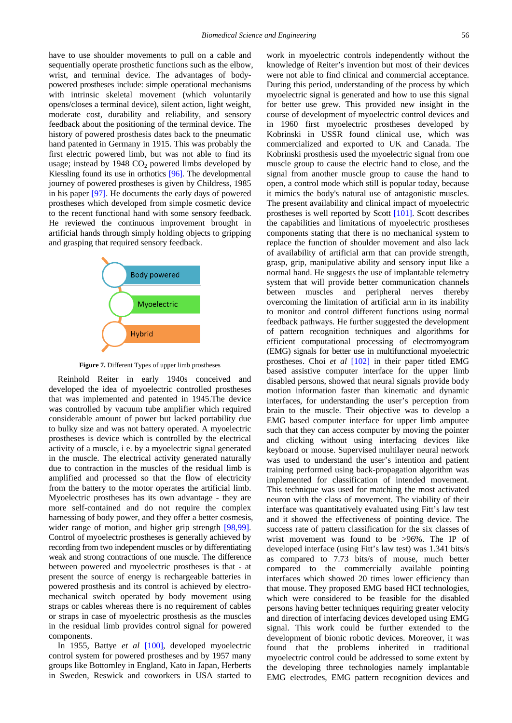have to use shoulder movements to pull on a cable and sequentially operate prosthetic functions such as the elbow. wrist, and terminal device. The advantages of bodypowered prostheses include: simple operational mechanisms with intrinsic skeletal movement (which voluntarily opens/closes a terminal device), silent action, light weight, moderate cost, durability and reliability, and sensory feedback about the positioning of the terminal device. The history of powered prosthesis dates back to the pneumatic hand patented in Germany in 1915. This was probably the first electric powered limb, but was not able to find its usage; instead by  $1948 \text{ CO}_2$  powered limbs developed by Kiessling found its use in orthotics [\[96\].](#page-17-38) The developmental journey of powered prostheses is given by Childress, 1985 in his paper [\[97\].](#page-17-39) He documents the early days of powered prostheses which developed from simple cosmetic device to the recent functional hand with some sensory feedback. He reviewed the continuous improvement brought in artificial hands through simply holding objects to gripping and grasping that required sensory feedback.



**Figure 7.** Different Types of upper limb prostheses

Reinhold Reiter in early 1940s conceived and developed the idea of myoelectric controlled prostheses that was implemented and patented in 1945.The device was controlled by vacuum tube amplifier which required considerable amount of power but lacked portability due to bulky size and was not battery operated. A myoelectric prostheses is device which is controlled by the electrical activity of a muscle, i e. by a myoelectric signal generated in the muscle. The electrical activity generated naturally due to contraction in the muscles of the residual limb is amplified and processed so that the flow of electricity from the battery to the motor operates the artificial limb. Myoelectric prostheses has its own advantage - they are more self-contained and do not require the complex harnessing of body power, and they offer a better cosmesis, wider range of motion, and higher grip strength [\[98,99\].](#page-17-40) Control of myoelectric prostheses is generally achieved by recording from two independent muscles or by differentiating weak and strong contractions of one muscle. The difference between powered and myoelectric prostheses is that - at present the source of energy is rechargeable batteries in powered prosthesis and its control is achieved by electromechanical switch operated by body movement using straps or cables whereas there is no requirement of cables or straps in case of myoelectric prosthesis as the muscles in the residual limb provides control signal for powered components.

In 1955, Battye *et al* [\[100\],](#page-17-41) developed myoelectric control system for powered prostheses and by 1957 many groups like Bottomley in England, Kato in Japan, Herberts in Sweden, Reswick and coworkers in USA started to work in myoelectric controls independently without the knowledge of Reiter's invention but most of their devices were not able to find clinical and commercial acceptance. During this period, understanding of the process by which myoelectric signal is generated and how to use this signal for better use grew. This provided new insight in the course of development of myoelectric control devices and in 1960 first myoelectric prostheses developed by Kobrinski in USSR found clinical use, which was commercialized and exported to UK and Canada. The Kobrinski prosthesis used the myoelectric signal from one muscle group to cause the electric hand to close, and the signal from another muscle group to cause the hand to open, a control mode which still is popular today, because it mimics the body's natural use of antagonistic muscles. The present availability and clinical impact of myoelectric prostheses is well reported by Scott [\[101\].](#page-17-42) Scott describes the capabilities and limitations of myoelectric prostheses components stating that there is no mechanical system to replace the function of shoulder movement and also lack of availability of artificial arm that can provide strength, grasp, grip, manipulative ability and sensory input like a normal hand. He suggests the use of implantable telemetry system that will provide better communication channels between muscles and peripheral nerves thereby overcoming the limitation of artificial arm in its inability to monitor and control different functions using normal feedback pathways. He further suggested the development of pattern recognition techniques and algorithms for efficient computational processing of electromyogram (EMG) signals for better use in multifunctional myoelectric prostheses. Choi *et al* [\[102\]](#page-18-0) in their paper titled EMG based assistive computer interface for the upper limb disabled persons, showed that neural signals provide body motion information faster than kinematic and dynamic interfaces, for understanding the user's perception from brain to the muscle. Their objective was to develop a EMG based computer interface for upper limb amputee such that they can access computer by moving the pointer and clicking without using interfacing devices like keyboard or mouse. Supervised multilayer neural network was used to understand the user's intention and patient training performed using back-propagation algorithm was implemented for classification of intended movement. This technique was used for matching the most activated neuron with the class of movement. The viability of their interface was quantitatively evaluated using Fitt's law test and it showed the effectiveness of pointing device. The success rate of pattern classification for the six classes of wrist movement was found to be >96%. The IP of developed interface (using Fitt's law test) was 1.341 bits/s as compared to 7.73 bits/s of mouse, much better compared to the commercially available pointing interfaces which showed 20 times lower efficiency than that mouse. They proposed EMG based HCI technologies, which were considered to be feasible for the disabled persons having better techniques requiring greater velocity and direction of interfacing devices developed using EMG signal. This work could be further extended to the development of bionic robotic devices. Moreover, it was found that the problems inherited in traditional myoelectric control could be addressed to some extent by the developing three technologies namely implantable EMG electrodes, EMG pattern recognition devices and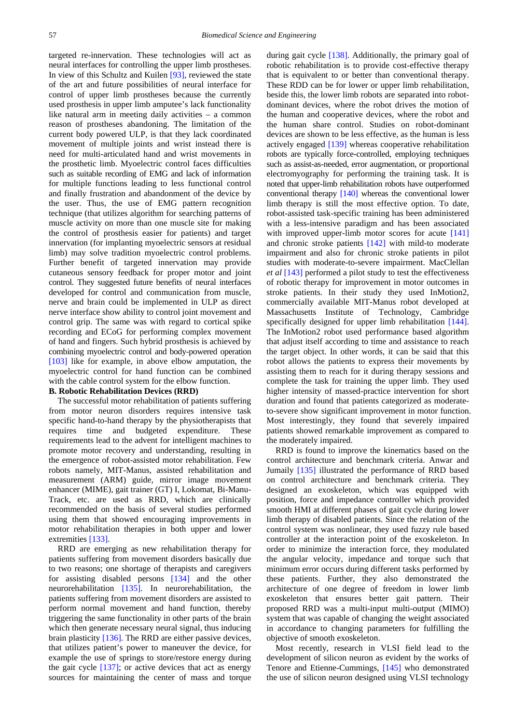targeted re-innervation. These technologies will act as neural interfaces for controlling the upper limb prostheses. In view of this Schultz and Kuilen [\[93\],](#page-17-35) reviewed the state of the art and future possibilities of neural interface for control of upper limb prostheses because the currently used prosthesis in upper limb amputee's lack functionality like natural arm in meeting daily activities – a common reason of prostheses abandoning. The limitation of the current body powered ULP, is that they lack coordinated movement of multiple joints and wrist instead there is need for multi-articulated hand and wrist movements in the prosthetic limb. Myoelectric control faces difficulties such as suitable recording of EMG and lack of information for multiple functions leading to less functional control and finally frustration and abandonment of the device by the user. Thus, the use of EMG pattern recognition technique (that utilizes algorithm for searching patterns of muscle activity on more than one muscle site for making the control of prosthesis easier for patients) and target innervation (for implanting myoelectric sensors at residual limb) may solve tradition myoelectric control problems. Further benefit of targeted innervation may provide cutaneous sensory feedback for proper motor and joint control. They suggested future benefits of neural interfaces developed for control and communication from muscle, nerve and brain could be implemented in ULP as direct nerve interface show ability to control joint movement and control grip. The same was with regard to cortical spike recording and ECoG for performing complex movement of hand and fingers. Such hybrid prosthesis is achieved by combining myoelectric control and body-powered operation [\[103\]](#page-18-1) like for example, in above elbow amputation, the myoelectric control for hand function can be combined with the cable control system for the elbow function.

### **B. Robotic Rehabilitation Devices (RRD)**

The successful motor rehabilitation of patients suffering from motor neuron disorders requires intensive task specific hand-to-hand therapy by the physiotherapists that requires time and budgeted expenditure. These requirements lead to the advent for intelligent machines to promote motor recovery and understanding, resulting in the emergence of robot-assisted motor rehabilitation. Few robots namely, MIT-Manus, assisted rehabilitation and measurement (ARM) guide, mirror image movement enhancer (MIME), gait trainer (GT) I, Lokomat, Bi-Manu-Track, etc. are used as RRD, which are clinically recommended on the basis of several studies performed using them that showed encouraging improvements in motor rehabilitation therapies in both upper and lower extremities [133].

RRD are emerging as new rehabilitation therapy for patients suffering from movement disorders basically due to two reasons; one shortage of therapists and caregivers for assisting disabled persons [\[134\]](#page-18-3) and the other neurorehabilitation [\[135\].](#page-18-4) In neurorehabilitation, the patients suffering from movement disorders are assisted to perform normal movement and hand function, thereby triggering the same functionality in other parts of the brain which then generate necessary neural signal, thus inducing brain plasticity [\[136\].](#page-18-5) The RRD are either passive devices, that utilizes patient's power to maneuver the device, for example the use of springs to store/restore energy during the gait cycle [\[137\];](#page-18-6) or active devices that act as energy sources for maintaining the center of mass and torque during gait cycle [\[138\].](#page-18-7) Additionally, the primary goal of robotic rehabilitation is to provide cost-effective therapy that is equivalent to or better than conventional therapy. These RDD can be for lower or upper limb rehabilitation, beside this, the lower limb robots are separated into robotdominant devices, where the robot drives the motion of the human and cooperative devices, where the robot and the human share control. Studies on robot-dominant devices are shown to be less effective, as the human is less actively engaged [\[139\]](#page-18-8) whereas cooperative rehabilitation robots are typically force-controlled, employing techniques such as assist-as-needed, error augmentation, or proportional electromyography for performing the training task. It is noted that upper-limb rehabilitation robots have outperformed conventional therapy [\[140\]](#page-18-9) whereas the conventional lower limb therapy is still the most effective option. To date, robot-assisted task-specific training has been administered with a less-intensive paradigm and has been associated with improved upper-limb motor scores for acute [\[141\]](#page-18-10) and chronic stroke patients [\[142\]](#page-18-11) with mild-to moderate impairment and also for chronic stroke patients in pilot studies with moderate-to-severe impairment. MacClellan *et al* [\[143\]](#page-18-12) performed a pilot study to test the effectiveness of robotic therapy for improvement in motor outcomes in stroke patients. In their study they used InMotion2, commercially available MIT-Manus robot developed at Massachusetts Institute of Technology, Cambridge specifically designed for upper limb rehabilitation [\[144\].](#page-18-13) The InMotion2 robot used performance based algorithm that adjust itself according to time and assistance to reach the target object. In other words, it can be said that this robot allows the patients to express their movements by assisting them to reach for it during therapy sessions and complete the task for training the upper limb. They used higher intensity of massed-practice intervention for short duration and found that patients categorized as moderateto-severe show significant improvement in motor function. Most interestingly, they found that severely impaired patients showed remarkable improvement as compared to the moderately impaired.

RRD is found to improve the kinematics based on the control architecture and benchmark criteria. Anwar and Jumaily [\[135\]](#page-18-4) illustrated the performance of RRD based on control architecture and benchmark criteria. They designed an exoskeleton, which was equipped with position, force and impedance controller which provided smooth HMI at different phases of gait cycle during lower limb therapy of disabled patients. Since the relation of the control system was nonlinear, they used fuzzy rule based controller at the interaction point of the exoskeleton. In order to minimize the interaction force, they modulated the angular velocity, impedance and torque such that minimum error occurs during different tasks performed by these patients. Further, they also demonstrated the architecture of one degree of freedom in lower limb exoskeleton that ensures better gait pattern. Their proposed RRD was a multi-input multi-output (MIMO) system that was capable of changing the weight associated in accordance to changing parameters for fulfilling the objective of smooth exoskeleton.

Most recently, research in VLSI field lead to the development of silicon neuron as evident by the works of Tenore and Etienne-Cummings, [\[145\]](#page-18-14) who demonstrated the use of silicon neuron designed using VLSI technology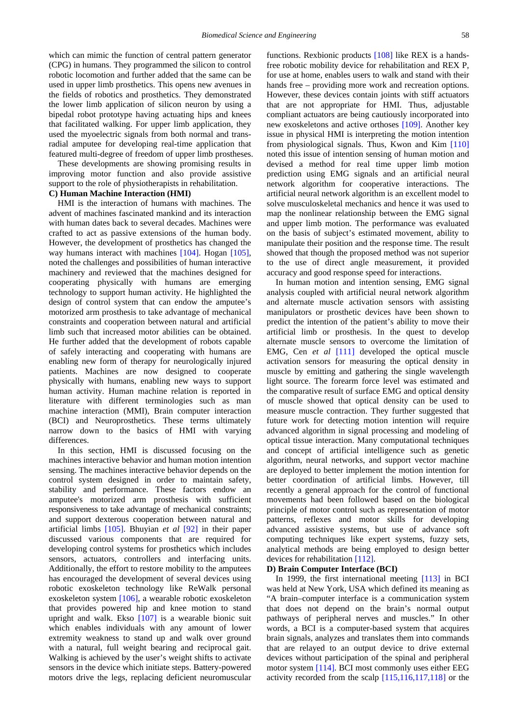which can mimic the function of central pattern generator (CPG) in humans. They programmed the silicon to control robotic locomotion and further added that the same can be used in upper limb prosthetics. This opens new avenues in the fields of robotics and prosthetics. They demonstrated the lower limb application of silicon neuron by using a bipedal robot prototype having actuating hips and knees that facilitated walking. For upper limb application, they used the myoelectric signals from both normal and transradial amputee for developing real-time application that featured multi-degree of freedom of upper limb prostheses.

These developments are showing promising results in improving motor function and also provide assistive support to the role of physiotherapists in rehabilitation.

### **C) Human Machine Interaction (HMI)**

HMI is the interaction of humans with machines. The advent of machines fascinated mankind and its interaction with human dates back to several decades. Machines were crafted to act as passive extensions of the human body. However, the development of prosthetics has changed the way humans interact with machines [\[104\].](#page-18-15) Hogan [\[105\],](#page-18-16) noted the challenges and possibilities of human interactive machinery and reviewed that the machines designed for cooperating physically with humans are emerging technology to support human activity. He highlighted the design of control system that can endow the amputee's motorized arm prosthesis to take advantage of mechanical constraints and cooperation between natural and artificial limb such that increased motor abilities can be obtained. He further added that the development of robots capable of safely interacting and cooperating with humans are enabling new form of therapy for neurologically injured patients. Machines are now designed to cooperate physically with humans, enabling new ways to support human activity. Human machine relation is reported in literature with different terminologies such as man machine interaction (MMI), Brain computer interaction (BCI) and Neuroprosthetics. These terms ultimately narrow down to the basics of HMI with varying differences.

In this section, HMI is discussed focusing on the machines interactive behavior and human motion intention sensing. The machines interactive behavior depends on the control system designed in order to maintain safety, stability and performance. These factors endow an amputee's motorized arm prosthesis with sufficient responsiveness to take advantage of mechanical constraints; and support dexterous cooperation between natural and artificial limbs [\[105\].](#page-18-16) Bhuyian *et al* [\[92\]](#page-17-34) in their paper discussed various components that are required for developing control systems for prosthetics which includes sensors, actuators, controllers and interfacing units. Additionally, the effort to restore mobility to the amputees has encouraged the development of several devices using robotic exoskeleton technology like ReWalk personal exoskeleton system [\[106\],](#page-18-17) a wearable robotic exoskeleton that provides powered hip and knee motion to stand upright and walk. Ekso  $[107]$  is a wearable bionic suit which enables individuals with any amount of lower extremity weakness to stand up and walk over ground with a natural, full weight bearing and reciprocal gait. Walking is achieved by the user's weight shifts to activate sensors in the device which initiate steps. Battery-powered motors drive the legs, replacing deficient neuromuscular functions. Rexbionic products [\[108\]](#page-18-19) like REX is a handsfree robotic mobility device for rehabilitation and REX P, for use at home, enables users to walk and stand with their hands free – providing more work and recreation options. However, these devices contain joints with stiff actuators that are not appropriate for HMI. Thus, adjustable compliant actuators are being cautiously incorporated into new exoskeletons and active orthoses [\[109\].](#page-18-20) Another key issue in physical HMI is interpreting the motion intention from physiological signals. Thus, Kwon and Kim [\[110\]](#page-18-21) noted this issue of intention sensing of human motion and devised a method for real time upper limb motion prediction using EMG signals and an artificial neural network algorithm for cooperative interactions. The artificial neural network algorithm is an excellent model to solve musculoskeletal mechanics and hence it was used to map the nonlinear relationship between the EMG signal and upper limb motion. The performance was evaluated on the basis of subject's estimated movement, ability to manipulate their position and the response time. The result showed that though the proposed method was not superior to the use of direct angle measurement, it provided accuracy and good response speed for interactions.

In human motion and intention sensing, EMG signal analysis coupled with artificial neural network algorithm and alternate muscle activation sensors with assisting manipulators or prosthetic devices have been shown to predict the intention of the patient's ability to move their artificial limb or prosthesis. In the quest to develop alternate muscle sensors to overcome the limitation of EMG, Cen *et al* [\[111\]](#page-18-22) developed the optical muscle activation sensors for measuring the optical density in muscle by emitting and gathering the single wavelength light source. The forearm force level was estimated and the comparative result of surface EMG and optical density of muscle showed that optical density can be used to measure muscle contraction. They further suggested that future work for detecting motion intention will require advanced algorithm in signal processing and modeling of optical tissue interaction. Many computational techniques and concept of artificial intelligence such as genetic algorithm, neural networks, and support vector machine are deployed to better implement the motion intention for better coordination of artificial limbs. However, till recently a general approach for the control of functional movements had been followed based on the biological principle of motor control such as representation of motor patterns, reflexes and motor skills for developing advanced assistive systems, but use of advance soft computing techniques like expert systems, fuzzy sets, analytical methods are being employed to design better devices for rehabilitatio[n \[112\].](#page-18-23)

#### **D) Brain Computer Interface (BCI)**

In 1999, the first international meeting [\[113\]](#page-18-24) in BCI was held at New York, USA which defined its meaning as "A brain–computer interface is a communication system that does not depend on the brain's normal output pathways of peripheral nerves and muscles." In other words, a BCI is a computer-based system that acquires brain signals, analyzes and translates them into commands that are relayed to an output device to drive external devices without participation of the spinal and peripheral motor system [\[114\].](#page-18-25) BCI most commonly uses either EEG activity recorded from the scalp [\[115,116,117,118\]](#page-18-26) or the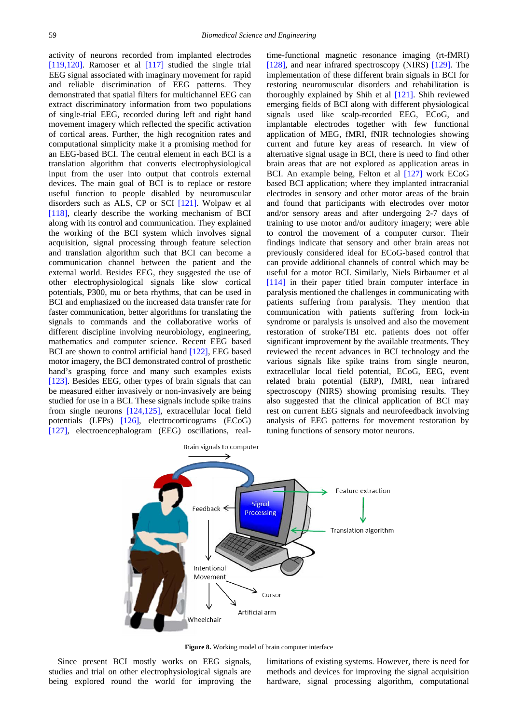activity of neurons recorded from implanted electrodes [\[119,120\].](#page-18-27) Ramoser et al [\[117\]](#page-18-28) studied the single trial EEG signal associated with imaginary movement for rapid and reliable discrimination of EEG patterns. They demonstrated that spatial filters for multichannel EEG can extract discriminatory information from two populations of single-trial EEG, recorded during left and right hand movement imagery which reflected the specific activation of cortical areas. Further, the high recognition rates and computational simplicity make it a promising method for an EEG-based BCI. The central element in each BCI is a translation algorithm that converts electrophysiological input from the user into output that controls external devices. The main goal of BCI is to replace or restore useful function to people disabled by neuromuscular disorders such as ALS, CP or SCI [\[121\].](#page-18-29) Wolpaw et al [\[118\],](#page-18-30) clearly describe the working mechanism of BCI along with its control and communication. They explained the working of the BCI system which involves signal acquisition, signal processing through feature selection and translation algorithm such that BCI can become a communication channel between the patient and the external world. Besides EEG, they suggested the use of other electrophysiological signals like slow cortical potentials, P300, mu or beta rhythms, that can be used in BCI and emphasized on the increased data transfer rate for faster communication, better algorithms for translating the signals to commands and the collaborative works of different discipline involving neurobiology, engineering, mathematics and computer science. Recent EEG based BCI are shown to control artificial hand [\[122\],](#page-18-31) EEG based motor imagery, the BCI demonstrated control of prosthetic hand's grasping force and many such examples exists [\[123\].](#page-18-32) Besides EEG, other types of brain signals that can be measured either invasively or non-invasively are being studied for use in a BCI. These signals include spike trains from single neurons [\[124,125\],](#page-18-33) extracellular local field potentials (LFPs) [\[126\],](#page-18-34) electrocorticograms (ECoG) [\[127\],](#page-18-35) electroencephalogram (EEG) oscillations, realtime-functional magnetic resonance imaging (rt-fMRI) [\[128\],](#page-18-36) and near infrared spectroscopy (NIRS) [\[129\].](#page-18-37) The implementation of these different brain signals in BCI for restoring neuromuscular disorders and rehabilitation is thoroughly explained by Shih et al [\[121\].](#page-18-29) Shih reviewed emerging fields of BCI along with different physiological signals used like scalp-recorded EEG, ECoG, and implantable electrodes together with few functional application of MEG, fMRI, fNIR technologies showing current and future key areas of research. In view of alternative signal usage in BCI, there is need to find other brain areas that are not explored as application areas in BCI. An example being, Felton et al [\[127\]](#page-18-35) work ECoG based BCI application; where they implanted intracranial electrodes in sensory and other motor areas of the brain and found that participants with electrodes over motor and/or sensory areas and after undergoing 2-7 days of training to use motor and/or auditory imagery; were able to control the movement of a computer cursor. Their findings indicate that sensory and other brain areas not previously considered ideal for ECoG-based control that can provide additional channels of control which may be useful for a motor BCI. Similarly, Niels Birbaumer et al [\[114\]](#page-18-25) in their paper titled brain computer interface in paralysis mentioned the challenges in communicating with patients suffering from paralysis. They mention that communication with patients suffering from lock-in syndrome or paralysis is unsolved and also the movement restoration of stroke/TBI etc. patients does not offer significant improvement by the available treatments. They reviewed the recent advances in BCI technology and the various signals like spike trains from single neuron, extracellular local field potential, ECoG, EEG, event related brain potential (ERP), fMRI, near infrared spectroscopy (NIRS) showing promising results. They also suggested that the clinical application of BCI may rest on current EEG signals and neurofeedback involving analysis of EEG patterns for movement restoration by tuning functions of sensory motor neurons.



**Figure 8.** Working model of brain computer interface

Since present BCI mostly works on EEG signals, studies and trial on other electrophysiological signals are being explored round the world for improving the limitations of existing systems. However, there is need for methods and devices for improving the signal acquisition hardware, signal processing algorithm, computational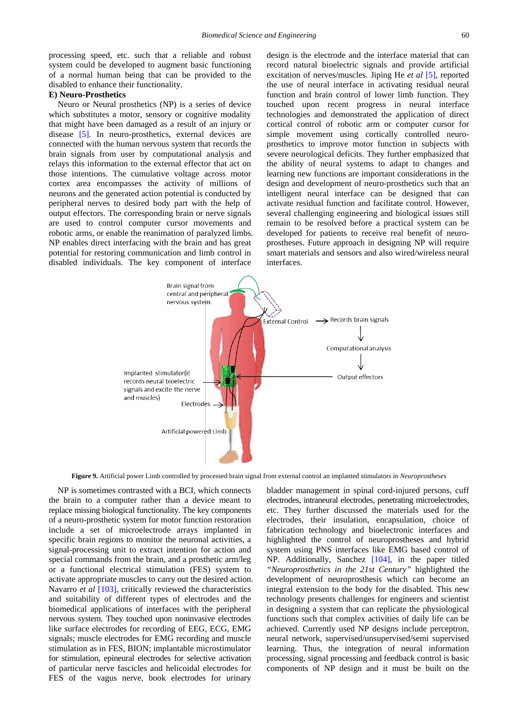processing speed, etc. such that a reliable and robust system could be developed to augment basic functioning of a normal human being that can be provided to the disabled to enhance their functionality.

#### **E) Neuro-Prosthetics**

Neuro or Neural prosthetics (NP) is a series of device which substitutes a motor, sensory or cognitive modality that might have been damaged as a result of an injury or disease [\[5\].](#page-16-3) In neuro-prosthetics, external devices are connected with the human nervous system that records the brain signals from user by computational analysis and relays this information to the external effector that act on those intentions. The cumulative voltage across motor cortex area encompasses the activity of millions of neurons and the generated action potential is conducted by peripheral nerves to desired body part with the help of output effectors. The corresponding brain or nerve signals are used to control computer cursor movements and robotic arms, or enable the reanimation of paralyzed limbs. NP enables direct interfacing with the brain and has great potential for restoring communication and limb control in disabled individuals. The key component of interface design is the electrode and the interface material that can record natural bioelectric signals and provide artificial excitation of nerves/muscles. Jiping He *et al* [\[5\],](#page-16-3) reported the use of neural interface in activating residual neural function and brain control of lower limb function. They touched upon recent progress in neural interface technologies and demonstrated the application of direct cortical control of robotic arm or computer cursor for simple movement using cortically controlled neuroprosthetics to improve motor function in subjects with severe neurological deficits. They further emphasized that the ability of neural systems to adapt to changes and learning new functions are important considerations in the design and development of neuro-prosthetics such that an intelligent neural interface can be designed that can activate residual function and facilitate control. However, several challenging engineering and biological issues still remain to be resolved before a practical system can be developed for patients to receive real benefit of neuroprostheses. Future approach in designing NP will require smart materials and sensors and also wired/wireless neural interfaces.



**Figure 9.** Artificial power Limb controlled by processed brain signal from external control an implanted stimulators in *Neuroprostheses*

NP is sometimes contrasted with a BCI, which connects the brain to a computer rather than a device meant to replace missing biological functionality. The key components of a neuro-prosthetic system for motor function restoration include a set of microelectrode arrays implanted in specific brain regions to monitor the neuronal activities, a signal-processing unit to extract intention for action and special commands from the brain, and a prosthetic arm/leg or a functional electrical stimulation (FES) system to activate appropriate muscles to carry out the desired action. Navarro *et al* [\[103\],](#page-18-1) critically reviewed the characteristics and suitability of different types of electrodes and the biomedical applications of interfaces with the peripheral nervous system. They touched upon noninvasive electrodes like surface electrodes for recording of EEG, ECG, EMG signals; muscle electrodes for EMG recording and muscle stimulation as in FES, BION; implantable microstimulator for stimulation, epineural electrodes for selective activation of particular nerve fascicles and helicoidal electrodes for FES of the vagus nerve, book electrodes for urinary

bladder management in spinal cord-injured persons, cuff electrodes, intraneural electrodes, penetrating microelectrodes, etc. They further discussed the materials used for the electrodes, their insulation, encapsulation, choice of fabrication technology and bioelectronic interfaces and highlighted the control of neuroprostheses and hybrid system using PNS interfaces like EMG based control of NP. Additionally, Sanchez [\[104\],](#page-18-15) in the paper titled *"Neuroprosthetics in the 21st Century"* highlighted the development of neuroprosthesis which can become an integral extension to the body for the disabled. This new technology presents challenges for engineers and scientist in designing a system that can replicate the physiological functions such that complex activities of daily life can be achieved. Currently used NP designs include perceptron, neural network, supervised/unsupervised/semi supervised learning. Thus, the integration of neural information processing, signal processing and feedback control is basic components of NP design and it must be built on the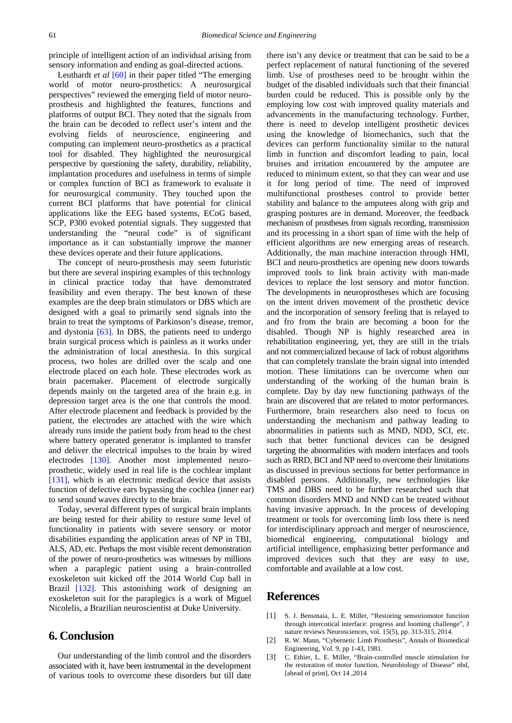principle of intelligent action of an individual arising from sensory information and ending as goal-directed actions.

Leuthardt *et al* [\[60\]](#page-17-5) in their paper titled "The emerging world of motor neuro-prosthetics: A neurosurgical perspectives" reviewed the emerging field of motor neuroprosthesis and highlighted the features, functions and platforms of output BCI. They noted that the signals from the brain can be decoded to reflect user's intent and the evolving fields of neuroscience, engineering and computing can implement neuro-prosthetics as a practical tool for disabled. They highlighted the neurosurgical perspective by questioning the safety, durability, reliability, implantation procedures and usefulness in terms of simple or complex function of BCI as framework to evaluate it for neurosurgical community. They touched upon the current BCI platforms that have potential for clinical applications like the EEG based systems, ECoG based, SCP, P300 evoked potential signals. They suggested that understanding the "neural code" is of significant importance as it can substantially improve the manner these devices operate and their future applications.

The concept of neuro-prosthesis may seem futuristic but there are several inspiring examples of this technology in clinical practice today that have demonstrated feasibility and even therapy. The best known of these examples are the deep brain stimulators or DBS which are designed with a goal to primarily send signals into the brain to treat the symptoms of Parkinson's disease, tremor, and dystonia [\[63\].](#page-17-43) In DBS, the patients need to undergo brain surgical process which is painless as it works under the administration of local anesthesia. In this surgical process, two holes are drilled over the scalp and one electrode placed on each hole. These electrodes work as brain pacemaker. Placement of electrode surgically depends mainly on the targeted area of the brain e.g. in depression target area is the one that controls the mood. After electrode placement and feedback is provided by the patient, the electrodes are attached with the wire which already runs inside the patient body from head to the chest where battery operated generator is implanted to transfer and deliver the electrical impulses to the brain by wired electrodes [\[130\].](#page-18-38) Another most implemented neuroprosthetic, widely used in real life is the cochlear implant [\[131\],](#page-18-39) which is an electronic medical device that assists function of defective ears bypassing the cochlea (inner ear) to send sound waves directly to the brain.

Today, several different types of surgical brain implants are being tested for their ability to restore some level of functionality in patients with severe sensory or motor disabilities expanding the application areas of NP in TBI, ALS, AD, etc. Perhaps the most visible recent demonstration of the power of neuro-prosthetics was witnesses by millions when a paraplegic patient using a brain-controlled exoskeleton suit kicked off the 2014 World Cup ball in Brazil [\[132\].](#page-18-40) This astonishing work of designing an exoskeleton suit for the paraplegics is a work of Miguel Nicolelis, a Brazilian neuroscientist at Duke University.

# **6. Conclusion**

Our understanding of the limb control and the disorders associated with it, have been instrumental in the development of various tools to overcome these disorders but till date there isn't any device or treatment that can be said to be a perfect replacement of natural functioning of the severed limb. Use of prostheses need to be brought within the budget of the disabled individuals such that their financial burden could be reduced. This is possible only by the employing low cost with improved quality materials and advancements in the manufacturing technology. Further, there is need to develop intelligent prosthetic devices using the knowledge of biomechanics, such that the devices can perform functionality similar to the natural limb in function and discomfort leading to pain, local bruises and irritation encountered by the amputee are reduced to minimum extent, so that they can wear and use it for long period of time. The need of improved multifunctional prostheses control to provide better stability and balance to the amputees along with grip and grasping postures are in demand. Moreover, the feedback mechanism of prostheses from signals recording, transmission and its processing in a short span of time with the help of efficient algorithms are new emerging areas of research. Additionally, the man machine interaction through HMI, BCI and neuro-prosthetics are opening new doors towards improved tools to link brain activity with man-made devices to replace the lost sensory and motor function. The developments in neuroprostheses which are focusing on the intent driven movement of the prosthetic device and the incorporation of sensory feeling that is relayed to and fro from the brain are becoming a boon for the disabled. Though NP is highly researched area in rehabilitation engineering, yet, they are still in the trials and not commercialized because of lack of robust algorithms that can completely translate the brain signal into intended motion. These limitations can be overcome when our understanding of the working of the human brain is complete. Day by day new functioning pathways of the brain are discovered that are related to motor performances. Furthermore, brain researchers also need to focus on understanding the mechanism and pathway leading to abnormalities in patients such as MND, NDD, SCI, etc. such that better functional devices can be designed targeting the abnormalities with modern interfaces and tools such as RRD, BCI and NP need to overcome their limitations as discussed in previous sections for better performance in disabled persons. Additionally, new technologies like TMS and DBS need to be further researched such that common disorders MND and NND can be treated without having invasive approach. In the process of developing treatment or tools for overcoming limb loss there is need for interdisciplinary approach and merger of neuroscience, biomedical engineering, computational biology and artificial intelligence, emphasizing better performance and improved devices such that they are easy to use, comfortable and available at a low cost.

## **References**

- <span id="page-15-0"></span>[1] S. J. Bensmaia, L. E. Miller, "Restoring sensoriomotor function through intercotical interface: progress and looming challenge", J nature reviews Neurosciences, vol. 15(5), pp. 313-315, 2014.
- <span id="page-15-1"></span>[2] R. W. Mann, "Cybernetic Limb Prosthesis", Annals of Biomedical Engineering, Vol. 9, pp 1-43, 1981.
- <span id="page-15-2"></span>[3] C. Ethier, L. E. Miller, "Brain-controlled muscle stimulation for the restoration of motor function, Neurobiology of Disease" nbd, [ahead of print], Oct 14 ,2014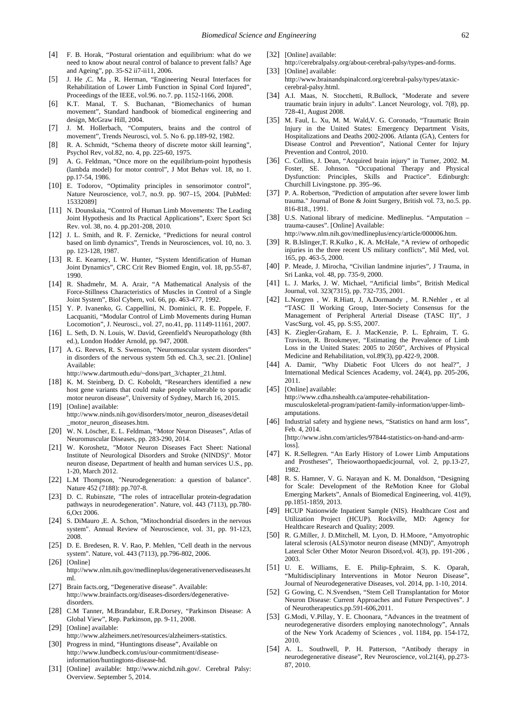- <span id="page-16-2"></span>[4] F. B. Horak, "Postural orientation and equilibrium: what do we need to know about neural control of balance to prevent falls? Age and Ageing", pp. 35-S2 ii7-ii11, 2006.
- <span id="page-16-3"></span>[5] J. He ,C. Ma , R. Herman, "Engineering Neural Interfaces for Rehabilitation of Lower Limb Function in Spinal Cord Injured", Proceedings of the IEEE, vol.96. no.7. pp. 1152-1166, 2008.
- <span id="page-16-4"></span>[6] K.T. Manal, T. S. Buchanan, "Biomechanics of human movement", Standard handbook of biomedical engineering and design, McGraw Hill, 2004.
- <span id="page-16-5"></span>[7] J. M. Hollerbach, "Computers, brains and the control of movement", Trends Neurosci, vol. 5. No 6. pp.189-92, 1982.
- <span id="page-16-6"></span>[8] R. A. Schmidt, "Schema theory of discrete motor skill learning", Psychol Rev, vol.82, no. 4, pp. 225-60, 1975.
- <span id="page-16-7"></span>[9] A. G. Feldman, "Once more on the equilibrium-point hypothesis (lambda model) for motor control", J Mot Behav vol. 18, no 1. pp.17-54, 1986.
- <span id="page-16-8"></span>[10] E. Todorov, "Optimality principles in sensorimotor control", Nature Neuroscience, vol.7, no.9. pp. 907–15, 2004. [PubMed: 15332089]
- <span id="page-16-9"></span>[11] N. Dounskaia, "Control of Human Limb Movements: The Leading Joint Hypothesis and Its Practical Applications", Exerc Sport Sci Rev. vol. 38, no. 4. pp.201-208, 2010.
- <span id="page-16-10"></span>[12] J. L. Smith, and R. F. Zernicke, "Predictions for neural control based on limb dynamics", Trends in Neurosciences, vol. 10, no. 3. pp. 123-128, 1987.
- <span id="page-16-11"></span>[13] R. E. Kearney, I. W. Hunter, "System Identification of Human Joint Dynamics", CRC Crit Rev Biomed Engin, vol. 18, pp.55-87, 1990.
- <span id="page-16-12"></span>[14] R. Shadmehr, M. A. Arair, "A Mathematical Analysis of the Force-Stillness Characteristics of Muscles in Control of a Single Joint System", Biol Cybern, vol. 66, pp. 463-477, 1992.
- <span id="page-16-13"></span>[15] Y. P. Ivanenko, G. Cappellini, N. Dominici, R. E. Poppele, F. Lacquaniti, "Modular Control of Limb Movements during Human Locomotion", J. Neurosci., vol. 27, no.41, pp. 11149-11161, 2007.
- <span id="page-16-0"></span>[16] L. Seth, D. N. Louis, W. David, Greenfield's Neuropathology (8th ed.), London Hodder Arnold, pp. 947, 2008.
- <span id="page-16-14"></span>[17] A. G. Reeves, R. S. Swenson, "Neuromuscular system disorders" in disorders of the nervous system 5th ed. Ch.3, sec.21. [Online] Available:

http://www.dartmouth.edu/~dons/part\_3/chapter\_21.html.

- <span id="page-16-15"></span>[18] K. M. Steinberg, D. C. Koboldt, "Researchers identified a new host gene variants that could make people vulnerable to sporadic motor neuron disease", University of Sydney, March 16, 2015. [19] [Online] available:
- <span id="page-16-16"></span>http://www.ninds.nih.gov/disorders/motor\_neuron\_diseases/detail \_motor\_neuron\_diseases.htm.
- <span id="page-16-17"></span>[20] W. N. Löscher, E. L. Feldman, "Motor Neuron Diseases", Atlas of Neuromuscular Diseases, pp. 283-290, 2014.
- <span id="page-16-18"></span>[21] W. Koroshetz, "Motor Neuron Diseases Fact Sheet: National Institute of Neurological Disorders and Stroke (NINDS)". Motor neuron disease, Department of health and human services U.S., pp. 1-20, March 2012.
- <span id="page-16-19"></span>[22] L.M Thompson, "Neurodegeneration: a question of balance". Nature 452 (7188): pp.707-8.
- <span id="page-16-20"></span>[23] D. C. Rubinszte, "The roles of intracellular protein-degradation pathways in neurodegeneration". Nature, vol. 443 (7113), pp.780- 6,Oct 2006.
- <span id="page-16-21"></span>[24] S. DiMauro , E. A. Schon, "Mitochondrial disorders in the nervous system". Annual Review of Neuroscience, vol. 31, pp. 91-123, 2008.
- <span id="page-16-22"></span>[25] D. E. Bredesen, R. V. Rao, P. Mehlen, "Cell death in the nervous system". Nature, vol. 443 (7113), pp.796-802, 2006.
- <span id="page-16-23"></span>[26] [Online] http://www.nlm.nih.gov/medlineplus/degenerativenervediseases.ht ml.
- <span id="page-16-24"></span>[27] Brain facts.org, "Degenerative disease". Available: http://www.brainfacts.org/diseases-disorders/degenerativedisorders.
- <span id="page-16-25"></span>[28] C.M Tanner, M.Brandabur, E.R.Dorsey, "Parkinson Disease: A Global View", Rep. Parkinson, pp. 9-11, 2008.
- <span id="page-16-26"></span>[29] [Online] available: http://www.alzheimers.net/resources/alzheimers-statistics.
- <span id="page-16-27"></span>[30] Progress in mind, "Huntingtons disease", Available on http://www.lundbeck.com/us/our-commitment/diseaseinformation/huntingtons-disease-hd.
- <span id="page-16-28"></span>[31] [Online] available: http://www.nichd.nih.gov/. Cerebral Palsy: Overview. September 5, 2014.
- <span id="page-16-29"></span>[32] [Online] available:
- <span id="page-16-30"></span>http://cerebralpalsy.org/about-cerebral-palsy/types-and-forms. [33] [Online] available:
- http://www.brainandspinalcord.org/cerebral-palsy/types/ataxiccerebral-palsy.html.
- <span id="page-16-31"></span>[34] A.I. Maas, N. Stocchetti, R.Bullock, "Moderate and severe traumatic brain injury in adults". Lancet Neurology, vol. 7(8), pp. 728-41, August 2008.
- <span id="page-16-32"></span>[35] M. Faul, L. Xu, M. M. Wald,V. G. Coronado, "Traumatic Brain Injury in the United States: Emergency Department Visits, Hospitalizations and Deaths 2002-2006. Atlanta (GA), Centers for Disease Control and Prevention", National Center for Injury Prevention and Control, 2010.
- <span id="page-16-33"></span>[36] C. Collins, J. Dean, "Acquired brain injury" in Turner, 2002. M. Foster, SE. Johnson. "Occupational Therapy and Physical Dysfunction: Principles, Skills and Practice". Edinburgh: Churchill Livingstone. pp. 395–96.
- <span id="page-16-34"></span>[37] P. A. Robertson, "Prediction of amputation after severe lower limb trauma." Journal of Bone & Joint Surgery, British vol. 73, no.5. pp. 816-818., 1991.
- <span id="page-16-35"></span>[38] U.S. National library of medicine. Medlineplus. "Amputation – trauma-causes". [Online] Available:
	- http://www.nlm.nih.gov/medlineplus/ency/article/000006.htm.
- <span id="page-16-36"></span>[39] R. B.Islinger,T. R.Kulko , K. A. McHale, "A review of orthopedic injuries in the three recent US military conflicts", Mil Med, vol. 165, pp. 463-5, 2000.
- <span id="page-16-37"></span>[40] P. Meade, J. Mirocha, "Civilian landmine injuries", J Trauma, in Sri Lanka, vol. 48, pp. 735-9, 2000.
- <span id="page-16-38"></span>[41] L. J. Marks, J. W. Michael, "Artificial limbs", British Medical Journal, vol. 323(7315), pp. 732-735, 2001.
- <span id="page-16-39"></span>[42] L.Norgren , W. R.Hiatt, J, A.Dormandy , M. R.Nehler , et al "TASC II Working Group, Inter-Society Consensus for the Management of Peripheral Arterial Disease (TASC II)", J VascSurg, vol. 45, pp. S:S5, 2007.
- <span id="page-16-40"></span>[43] K. Ziegler-Graham, E. J. MacKenzie, P. L. Ephraim, T. G. Travison, R. Brookmeyer, "Estimating the Prevalence of Limb Loss in the United States: 2005 to 2050", Archives of Physical Medicine and Rehabilitation, vol.89(3), pp.422-9, 2008.
- <span id="page-16-41"></span>[44] A. Damir, "Why Diabetic Foot Ulcers do not heal?", J International Medical Sciences Academy, vol. 24(4), pp. 205-206, 2011.
- <span id="page-16-42"></span>[45] [Online] available: http://www.cdha.nshealth.ca/amputee-rehabilitationmusculoskeletal-program/patient-family-information/upper-limbamputations.
- <span id="page-16-43"></span>[46] Industrial safety and hygiene news, "Statistics on hand arm loss", Feb. 4, 2014. [http://www.ishn.com/articles/97844-statistics-on-hand-and-arm
	- loss].
- <span id="page-16-44"></span>[47] K. R.Sellegren. "An Early History of Lower Limb Amputations and Prostheses", Theiowaorthopaedicjournal, vol. 2, pp.13-27, 1982.
- <span id="page-16-1"></span>[48] R. S. Hamner, V. G. Narayan and K. M. Donaldson, "Designing for Scale: Development of the ReMotion Knee for Global Emerging Markets", Annals of Biomedical Engineering, vol. 41(9), pp.1851-1859, 2013.
- <span id="page-16-45"></span>[49] HCUP Nationwide Inpatient Sample (NIS). Healthcare Cost and Utilization Project (HCUP). Rockville, MD: Agency for Healthcare Research and Quality; 2009.
- <span id="page-16-46"></span>[50] R. G.Miller, J. D.Mitchell, M. Lyon, D. H.Moore, "Amyotrophic lateral sclerosis (ALS)/motor neuron disease (MND)", Amyotroph Lateral Scler Other Motor Neuron Disord,vol. 4(3), pp. 191-206 , 2003.
- <span id="page-16-47"></span>[51] U. E. Williams, E. E. Philip-Ephraim, S. K. Oparah, "Multidisciplinary Interventions in Motor Neuron Disease", Journal of Neurodegenerative Diseases, vol. 2014, pp. 1-10, 2014.
- <span id="page-16-48"></span>[52] G Gowing, C. N.Svendsen, "Stem Cell Transplantation for Motor Neuron Disease: Current Approaches and Future Perspectives". J of Neurotherapeutics.pp.591-606,2011.
- <span id="page-16-49"></span>[53] G.Modi, V.Pillay, Y. E. Choonara, "Advances in the treatment of neurodegenerative disorders employing nanotechnology", Annals of the New York Academy of Sciences , vol. 1184, pp. 154-172, 2010.
- <span id="page-16-50"></span>[54] A. L. Southwell, P. H. Patterson, "Antibody therapy in neurodegenerative disease", Rev Neuroscience, vol.21(4), pp.273- 87, 2010.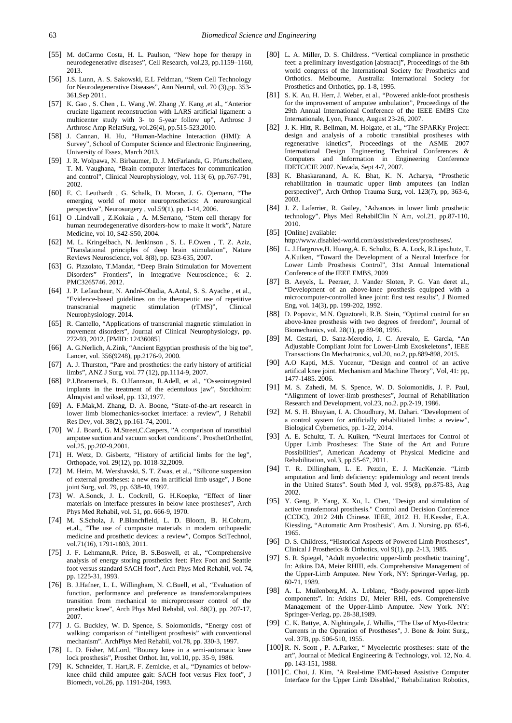- <span id="page-17-0"></span>[55] M. doCarmo Costa, H. L. Paulson, "New hope for therapy in neurodegenerative diseases", Cell Research, vol.23, pp.1159–1160, 2013.
- <span id="page-17-1"></span>[56] J.S. Lunn, A. S. Sakowski, E.L Feldman, "Stem Cell Technology for Neurodegenerative Diseases", Ann Neurol, vol. 70 (3),pp. 353- 361,Sep 2011.
- <span id="page-17-2"></span>[57] K. Gao , S. Chen , L. Wang ,W. Zhang ,Y. Kang ,et al., "Anterior cruciate ligament reconstruction with LARS artificial ligament: a multicenter study with 3- to 5-year follow up", Arthrosc J Arthrosc Amp RelatSurg, vol.26(4), pp.515-523,2010.
- <span id="page-17-3"></span>[58] J. Cannan, H. Hu, "Human-Machine Interaction (HMI): A Survey", School of Computer Science and Electronic Engineering, University of Essex, March 2013.
- <span id="page-17-4"></span>[59] J. R. Wolpawa, N. Birbaumer, D. J. McFarlanda, G. Pfurtschellere, T. M. Vaughana, "Brain computer interfaces for communication and control", Clinical Neurophysiology, vol. 113( 6), pp.767-791, 2002.
- <span id="page-17-5"></span>[60] E. C. Leuthardt , G. Schalk, D. Moran, J. G. Ojemann, "The emerging world of motor neuroprosthetics: A neurosurgical perspective", Neurosurgery , vol.59(1), pp. 1-14, 2006.
- <span id="page-17-6"></span>[61] O .Lindvall , Z.Kokaia , A. M.Serrano, "Stem cell therapy for human neurodegenerative disorders-how to make it work", Nature Medicine, vol 10, S42-S50, 2004.
- <span id="page-17-7"></span>[62] M. L. Kringelbach, N. Jenkinson , S. L. F.Owen , T. Z. Aziz, "Translational principles of deep brain stimulation", Nature Reviews Neuroscience, vol. 8(8), pp. 623-635, 2007.
- <span id="page-17-43"></span>[63] G. Pizzolato, T.Mandat, "Deep Brain Stimulation for Movement Disorders" Frontiers", in Integrative Neuroscience.; 6: 2. PMC3265746. 2012.
- <span id="page-17-8"></span>[64] J. P. Lefaucheur, N. André-Obadia, A.Antal, S. S. Ayache , et al., "Evidence-based guidelines on the therapeutic use of repetitive transcranial magnetic stimulation (rTMS)", Clinical Neurophysiology. 2014.
- [65] R. Cantello, "Applications of transcranial magnetic stimulation in movement disorders", Journal of Clinical Neurophysiology, pp. 272-93, 2012. [PMID: 12436085]
- <span id="page-17-9"></span>[66] A. G.Nerlich, A.Zink, "Ancient Egyptian prosthesis of the big toe", Lancer, vol. 356(9248), pp.2176-9, 2000.
- <span id="page-17-10"></span>[67] A. J. Thurston, "Pare and prosthetics: the early history of artificial limbs", ANZ J Surg, vol. 77 (12), pp.1114-9, 2007.
- <span id="page-17-11"></span>[68] P.I.Branemark, B. O.Hannson, R.Adell, et al., "Osseointegrated implants in the treatment of the edentulous jaw", Stockholm: Almqvist and wiksel, pp. 132,1977.
- <span id="page-17-12"></span>[69] A. F.Mak,M. Zhang, D. A. Boone, "State-of-the-art research in lower limb biomechanics-socket interface: a review", J Rehabil Res Dev, vol. 38(2), pp.161-74, 2001.
- <span id="page-17-13"></span>[70] W. J. Board, G. M.Street,C.Caspers, "A comparison of transtibial amputee suction and vacuum socket conditions". ProsthetOrthotInt, vol.25, pp.202-9,2001.
- <span id="page-17-14"></span>[71] H. Wetz, D. Gisbertz, "History of artificial limbs for the leg", Orthopade, vol. 29(12), pp. 1018-32,2009.
- <span id="page-17-15"></span>[72] M. Heim, M. Wershavski, S. T. Zwas, et al., "Silicone suspension of external prostheses: a new era in artificial limb usage", J Bone joint Surg, vol. 79, pp. 638-40, 1997.
- <span id="page-17-16"></span>[73] W. A.Sonck, J. L. Cockrell, G. H.Koepke, "Effect of liner materials on interface pressures in below knee prostheses", Arch Phys Med Rehabil, vol. 51, pp. 666-9, 1970.
- <span id="page-17-17"></span>[74] M. S.Scholz, J. P.Blanchfield, L. D. Bloom, B. H.Coburn, et.al., "The use of composite materials in modern orthopaedic medicine and prosthetic devices: a review", Compos SciTechnol, vol.71(16), 1791-1803, 2011.
- <span id="page-17-18"></span>[75] J. F. Lehmann,R. Price, B. S.Boswell, et al., "Comprehensive analysis of energy storing prosthetics feet: Flex Foot and Seattle foot versus standard SACH foot", Arch Phys Med Rehabil, vol. 74, pp. 1225-31, 1993.
- <span id="page-17-19"></span>[76] B. J.Hafner, L. L. Willingham, N. C.Buell, et al., "Evaluation of function, performance and preference as transfemoralamputees transition from mechanical to microprocessor control of the prosthetic knee", Arch Phys Med Rehabil, vol. 88(2), pp. 207-17, 2007.
- <span id="page-17-20"></span>[77] J. G. Buckley, W. D. Spence, S. Solomonidis, "Energy cost of walking: comparison of "intelligent prosthesis" with conventional mechanism". ArchPhys Med Rehabil, vol.78, pp. 330-3, 1997.
- <span id="page-17-21"></span>[78] L. D. Fisher, M.Lord, "Bouncy knee in a semi-automatic knee lock prosthesis", Prosthet Orthot. Int, vol.10, pp. 35-9, 1986.
- <span id="page-17-22"></span>[79] K. Schneider, T. Hart,R. F. Zemicke, et al., "Dynamics of belowknee child child amputee gait: SACH foot versus Flex foot", J Biomech, vol.26, pp. 1191-204, 1993.
- <span id="page-17-23"></span>[80] L. A. Miller, D. S. Childress. "Vertical compliance in prosthetic feet: a preliminary investigation [abstract]", Proceedings of the 8th world congress of the International Society for Prosthetics and Orthotics. Melbourne, Australia: International Society for Prosthetics and Orthotics, pp. 1-8, 1995.
- <span id="page-17-24"></span>[81] S. K. Au, H. Herr, J. Weber, et al., "Powered ankle-foot prosthesis for the improvement of amputee ambulation", Proceedings of the 29th Annual International Conference of the IEEE EMBS Cite Internationale, Lyon, France, August 23-26, 2007.
- <span id="page-17-25"></span>[82] J. K. Hitt, R. Bellman, M. Holgate, et al., "The SPARKy Project: design and analysis of a robotic transtibial prostheses with regenerative kinetics", Proceedings of the ASME 2007 International Design Engineering Technical Conferences & Computers and Information in Engineering Conference IDETC/CIE 2007. Nevada, Sept 4-7, 2007.
- <span id="page-17-26"></span>[83] K. Bhaskaranand, A. K. Bhat, K. N. Acharya, "Prosthetic rehabilitation in traumatic upper limb amputees (an Indian perspective)", Arch Orthop Trauma Surg, vol. 123(7), pp, 363-6, 2003.
- <span id="page-17-27"></span>[84] J. Z. Laferrier, R. Gailey, "Advances in lower limb prosthetic technology", Phys Med RehabilClin N Am, vol.21, pp.87-110, 2010.
- <span id="page-17-28"></span>[85] [Online] available:
	- http://www.disabled-world.com/assistivedevices/prostheses/.
- <span id="page-17-29"></span>[86] L. J.Hargrove,H. Huang,A. E. Schultz, B. A. Lock, R.Lipschutz, T. A.Kuiken, "Toward the Development of a Neural Interface for Lower Limb Prosthesis Control", 31st Annual International Conference of the IEEE EMBS, 2009
- <span id="page-17-30"></span>[87] B. Aeyels, L. Peeraer, J. Vander Sloten, P. G. Van deret al., "Development of an above-knee prosthesis equipped with a microcomputer-controlled knee joint: first test results", J Biomed Eng, vol. 14(3), pp. 199-202, 1992.
- [88] D. Popovic, M.N. Oguztoreli, R.B. Stein, "Optimal control for an above-knee prosthesis with two degrees of freedom", Journal of Biomechanics, vol. 28(1), pp 89-98, 1995.
- <span id="page-17-31"></span>[89] M. Cestari, D. Sanz-Merodio, J. C. Arevalo, E. Garcia, "An Adjustable Compliant Joint for Lower-Limb Exoskeletons", IEEE Transactions On Mechatronics, vol.20, no.2, pp.889-898, 2015.
- <span id="page-17-32"></span>[90] A.O Kapti, M.S. Yucenur, "Design and control of an active artifical knee joint. Mechanism and Machine Theory", Vol, 41: pp, 1477-1485. 2006.
- <span id="page-17-33"></span>[91] M. S. Zahedi, M. S. Spence, W. D. Solomonidis, J. P. Paul, "Alignment of lower-limb prostheses", Journal of Rehabilitation Research and Development, vol.23, no.2. pp.2-19, 1986.
- <span id="page-17-34"></span>[92] M. S. H. Bhuyian, I. A. Choudhury, M. Dahari. "Development of a control system for artificially rehabilitated limbs: a review", Biological Cybernetics, pp. 1-22, 2014.
- <span id="page-17-35"></span>[93] A. E. Schultz, T. A. Kuiken, "Neural Interfaces for Control of Upper Limb Prostheses: The State of the Art and Future Possibilities", American Academy of Physical Medicine and Rehabilitation, vol.3, pp.55-67, 2011.
- <span id="page-17-36"></span>[94] T. R. Dillingham, L. E. Pezzin, E. J. MacKenzie. "Limb amputation and limb deficiency: epidemiology and recent trends in the United States". South Med J, vol. 95(8), pp.875-83, Aug 2002.
- <span id="page-17-37"></span>[95] Y. Geng, P. Yang, X. Xu, L. Chen, "Design and simulation of active transfemoral prosthesis." Control and Decision Conference (CCDC), 2012 24th Chinese. IEEE, 2012. H. H.Kessler, E.A. Kiessling, "Automatic Arm Prosthesis", Am. J. Nursing, pp. 65-6, 1965.
- <span id="page-17-38"></span>[96] D. S. Childress, "Historical Aspects of Powered Limb Prostheses", Clinical J Prosthetics & Orthotics, vol 9(1), pp. 2-13, 1985.
- <span id="page-17-39"></span>S. R. Spiegel, "Adult myoelectric upper-limb prosthetic training" In: Atkins DA, Meier RHIII, eds. Comprehensive Management of the Upper-Limb Amputee. New York, NY: Springer-Verlag, pp. 60-71, 1989.
- <span id="page-17-40"></span>[98] A. L. Muilenberg,M. A. Leblanc, "Body-powered upper-limb components". In: Atkins DJ, Meier RHI, eds. Comprehensive Management of the Upper-Limb Amputee. New York. NY: Springer-Verlag, pp. 28-38,1989.
- [99] C. K. Battye, A. Nightingale, J. Whillis, "The Use of Myo-Electric Currents in the Operation of Prostheses", J. Bone & Joint Surg., vol. 37B, pp. 506-510, 1955.
- <span id="page-17-41"></span>[100] R. N. Scott, P. A.Parker, "Myoelectric prostheses: state of the art", Journal of Medical Engineering & Technology, vol. 12, No. 4. pp. 143-151, 1988.
- <span id="page-17-42"></span>[101] C. Choi, J. Kim, "A Real-time EMG-based Assistive Computer Interface for the Upper Limb Disabled," Rehabilitation Robotics,